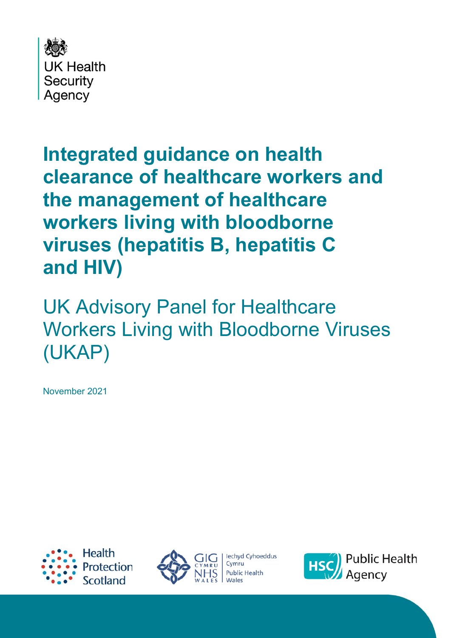

# **Integrated guidance on health clearance of healthcare workers and the management of healthcare workers living with bloodborne viruses (hepatitis B, hepatitis C and HIV)**

UK Advisory Panel for Healthcare Workers Living with Bloodborne Viruses (UKAP)

November 2021





lechyd Cyhoeddus Cymru **Public Health** 

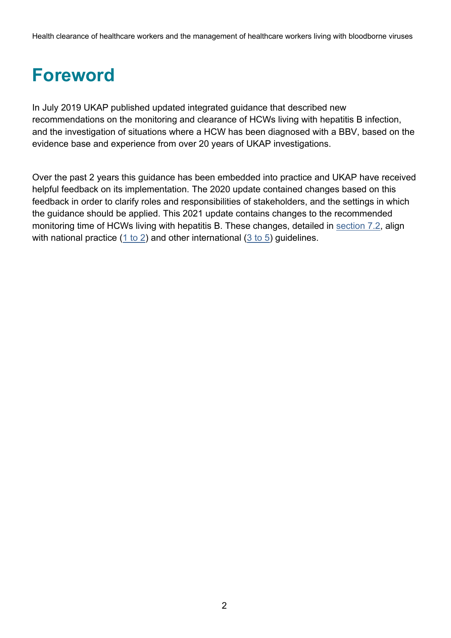Health clearance of healthcare workers and the management of healthcare workers living with bloodborne viruses

# <span id="page-1-0"></span>**Foreword**

In July 2019 UKAP published updated integrated guidance that described new recommendations on the monitoring and clearance of HCWs living with hepatitis B infection, and the investigation of situations where a HCW has been diagnosed with a BBV, based on the evidence base and experience from over 20 years of UKAP investigations.

Over the past 2 years this guidance has been embedded into practice and UKAP have received helpful feedback on its implementation. The 2020 update contained changes based on this feedback in order to clarify roles and responsibilities of stakeholders, and the settings in which the guidance should be applied. This 2021 update contains changes to the recommended monitoring time of HCWs living with hepatitis B. These changes, detailed in [section 7.2,](#page-31-0) align with national practice (1 [to 2\)](#page-60-0) and other international (3 [to 5\)](#page-60-1) guidelines.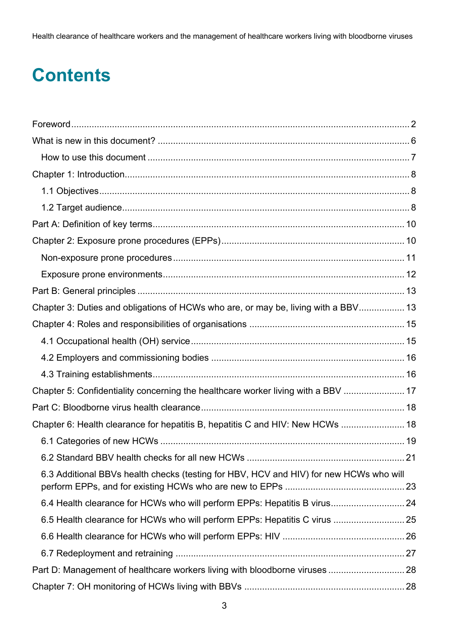Health clearance of healthcare workers and the management of healthcare workers living with bloodborne viruses

# **Contents**

| Chapter 3: Duties and obligations of HCWs who are, or may be, living with a BBV 13     |    |
|----------------------------------------------------------------------------------------|----|
|                                                                                        |    |
|                                                                                        |    |
|                                                                                        |    |
|                                                                                        |    |
| Chapter 5: Confidentiality concerning the healthcare worker living with a BBV  17      |    |
|                                                                                        |    |
| Chapter 6: Health clearance for hepatitis B, hepatitis C and HIV: New HCWs  18         |    |
|                                                                                        |    |
| 6.2 Standard BBV health checks for all new HCWs                                        | 21 |
| 6.3 Additional BBVs health checks (testing for HBV, HCV and HIV) for new HCWs who will |    |
|                                                                                        |    |
| 6.5 Health clearance for HCWs who will perform EPPs: Hepatitis C virus  25             |    |
|                                                                                        |    |
|                                                                                        |    |
| Part D: Management of healthcare workers living with bloodborne viruses  28            |    |
|                                                                                        |    |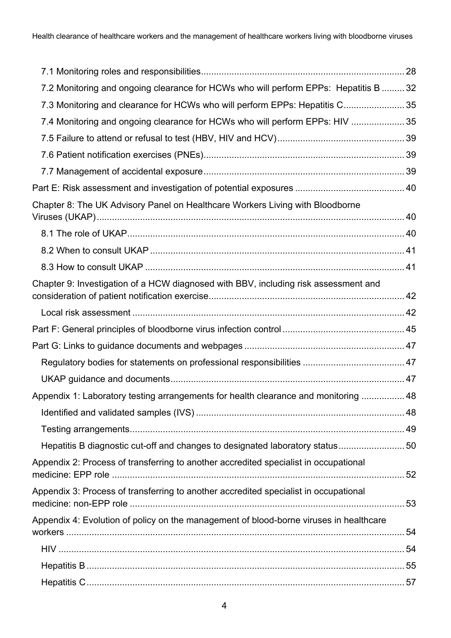| 7.2 Monitoring and ongoing clearance for HCWs who will perform EPPs: Hepatitis B  32   |  |
|----------------------------------------------------------------------------------------|--|
| 7.3 Monitoring and clearance for HCWs who will perform EPPs: Hepatitis C 35            |  |
| 7.4 Monitoring and ongoing clearance for HCWs who will perform EPPs: HIV  35           |  |
|                                                                                        |  |
|                                                                                        |  |
|                                                                                        |  |
|                                                                                        |  |
| Chapter 8: The UK Advisory Panel on Healthcare Workers Living with Bloodborne          |  |
|                                                                                        |  |
|                                                                                        |  |
|                                                                                        |  |
| Chapter 9: Investigation of a HCW diagnosed with BBV, including risk assessment and    |  |
|                                                                                        |  |
|                                                                                        |  |
|                                                                                        |  |
|                                                                                        |  |
|                                                                                        |  |
| Appendix 1: Laboratory testing arrangements for health clearance and monitoring  48    |  |
|                                                                                        |  |
|                                                                                        |  |
| Hepatitis B diagnostic cut-off and changes to designated laboratory status 50          |  |
| Appendix 2: Process of transferring to another accredited specialist in occupational   |  |
| Appendix 3: Process of transferring to another accredited specialist in occupational   |  |
| Appendix 4: Evolution of policy on the management of blood-borne viruses in healthcare |  |
|                                                                                        |  |
|                                                                                        |  |
|                                                                                        |  |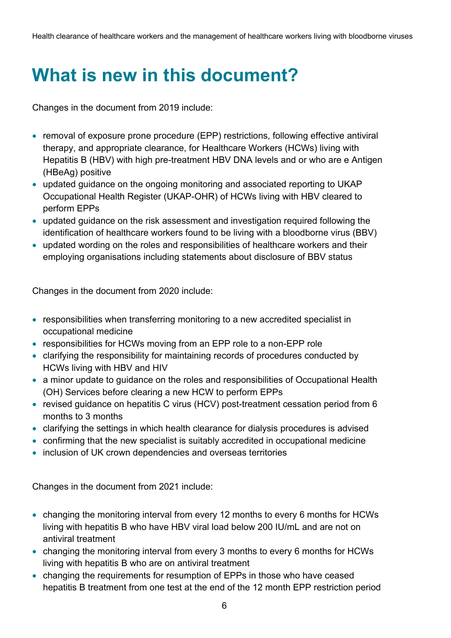# <span id="page-5-0"></span>**What is new in this document?**

Changes in the document from 2019 include:

- removal of exposure prone procedure (EPP) restrictions, following effective antiviral therapy, and appropriate clearance, for Healthcare Workers (HCWs) living with Hepatitis B (HBV) with high pre-treatment HBV DNA levels and or who are e Antigen (HBeAg) positive
- updated guidance on the ongoing monitoring and associated reporting to UKAP Occupational Health Register (UKAP-OHR) of HCWs living with HBV cleared to perform EPPs
- updated guidance on the risk assessment and investigation required following the identification of healthcare workers found to be living with a bloodborne virus (BBV)
- updated wording on the roles and responsibilities of healthcare workers and their employing organisations including statements about disclosure of BBV status

Changes in the document from 2020 include:

- responsibilities when transferring monitoring to a new accredited specialist in occupational medicine
- responsibilities for HCWs moving from an EPP role to a non-EPP role
- clarifying the responsibility for maintaining records of procedures conducted by HCWs living with HBV and HIV
- a minor update to guidance on the roles and responsibilities of Occupational Health (OH) Services before clearing a new HCW to perform EPPs
- revised guidance on hepatitis C virus (HCV) post-treatment cessation period from 6 months to 3 months
- clarifying the settings in which health clearance for dialysis procedures is advised
- confirming that the new specialist is suitably accredited in occupational medicine
- inclusion of UK crown dependencies and overseas territories

Changes in the document from 2021 include:

- changing the monitoring interval from every 12 months to every 6 months for HCWs living with hepatitis B who have HBV viral load below 200 IU/mL and are not on antiviral treatment
- changing the monitoring interval from every 3 months to every 6 months for HCWs living with hepatitis B who are on antiviral treatment
- changing the requirements for resumption of EPPs in those who have ceased hepatitis B treatment from one test at the end of the 12 month EPP restriction period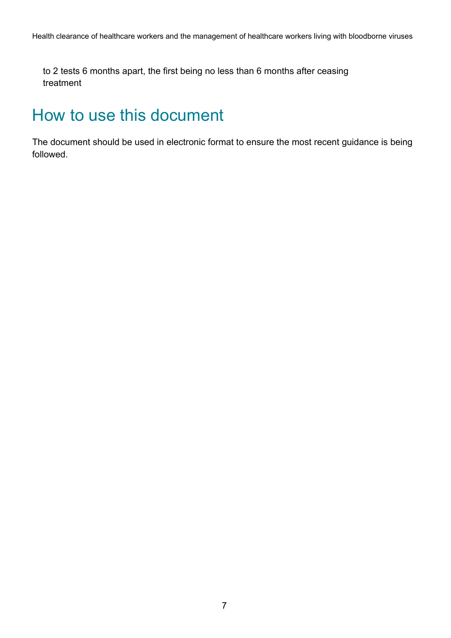to 2 tests 6 months apart, the first being no less than 6 months after ceasing treatment

### <span id="page-6-0"></span>How to use this document

The document should be used in electronic format to ensure the most recent guidance is being followed.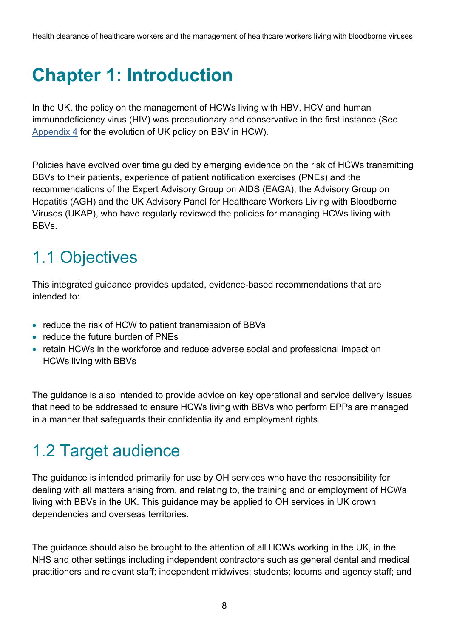# <span id="page-7-0"></span>**Chapter 1: Introduction**

In the UK, the policy on the management of HCWs living with HBV, HCV and human immunodeficiency virus (HIV) was precautionary and conservative in the first instance (See [Appendix 4](#page-53-0) for the evolution of UK policy on BBV in HCW).

Policies have evolved over time guided by emerging evidence on the risk of HCWs transmitting BBVs to their patients, experience of patient notification exercises (PNEs) and the recommendations of the Expert Advisory Group on AIDS (EAGA), the Advisory Group on Hepatitis (AGH) and the UK Advisory Panel for Healthcare Workers Living with Bloodborne Viruses (UKAP), who have regularly reviewed the policies for managing HCWs living with **BBVs** 

## <span id="page-7-1"></span>1.1 Objectives

This integrated guidance provides updated, evidence-based recommendations that are intended to:

- reduce the risk of HCW to patient transmission of BBVs
- reduce the future burden of PNEs
- retain HCWs in the workforce and reduce adverse social and professional impact on HCWs living with BBVs

The guidance is also intended to provide advice on key operational and service delivery issues that need to be addressed to ensure HCWs living with BBVs who perform EPPs are managed in a manner that safeguards their confidentiality and employment rights.

## <span id="page-7-2"></span>1.2 Target audience

The guidance is intended primarily for use by OH services who have the responsibility for dealing with all matters arising from, and relating to, the training and or employment of HCWs living with BBVs in the UK. This guidance may be applied to OH services in UK crown dependencies and overseas territories.

The guidance should also be brought to the attention of all HCWs working in the UK, in the NHS and other settings including independent contractors such as general dental and medical practitioners and relevant staff; independent midwives; students; locums and agency staff; and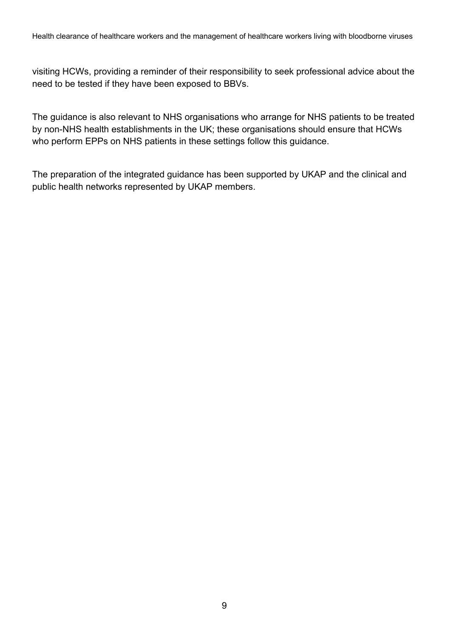visiting HCWs, providing a reminder of their responsibility to seek professional advice about the need to be tested if they have been exposed to BBVs.

The guidance is also relevant to NHS organisations who arrange for NHS patients to be treated by non-NHS health establishments in the UK; these organisations should ensure that HCWs who perform EPPs on NHS patients in these settings follow this guidance.

The preparation of the integrated guidance has been supported by UKAP and the clinical and public health networks represented by UKAP members.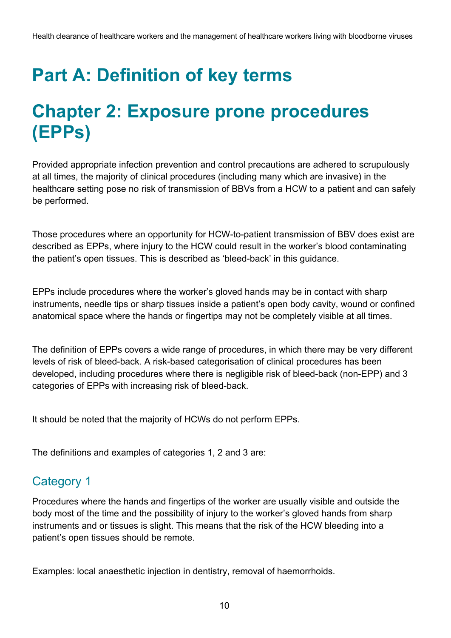# <span id="page-9-0"></span>**Part A: Definition of key terms**

## <span id="page-9-1"></span>**Chapter 2: Exposure prone procedures (EPPs)**

Provided appropriate infection prevention and control precautions are adhered to scrupulously at all times, the majority of clinical procedures (including many which are invasive) in the healthcare setting pose no risk of transmission of BBVs from a HCW to a patient and can safely be performed.

Those procedures where an opportunity for HCW-to-patient transmission of BBV does exist are described as EPPs, where injury to the HCW could result in the worker's blood contaminating the patient's open tissues. This is described as 'bleed-back' in this guidance.

EPPs include procedures where the worker's gloved hands may be in contact with sharp instruments, needle tips or sharp tissues inside a patient's open body cavity, wound or confined anatomical space where the hands or fingertips may not be completely visible at all times.

The definition of EPPs covers a wide range of procedures, in which there may be very different levels of risk of bleed-back. A risk-based categorisation of clinical procedures has been developed, including procedures where there is negligible risk of bleed-back (non-EPP) and 3 categories of EPPs with increasing risk of bleed-back.

It should be noted that the majority of HCWs do not perform EPPs.

The definitions and examples of categories 1, 2 and 3 are:

### Category 1

Procedures where the hands and fingertips of the worker are usually visible and outside the body most of the time and the possibility of injury to the worker's gloved hands from sharp instruments and or tissues is slight. This means that the risk of the HCW bleeding into a patient's open tissues should be remote.

Examples: local anaesthetic injection in dentistry, removal of haemorrhoids.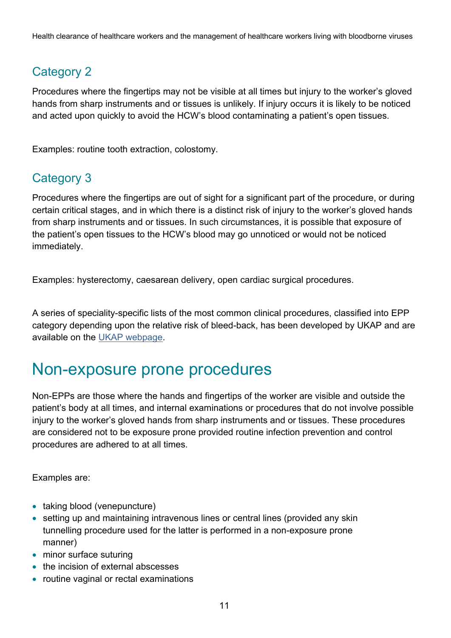### Category 2

Procedures where the fingertips may not be visible at all times but injury to the worker's gloved hands from sharp instruments and or tissues is unlikely. If injury occurs it is likely to be noticed and acted upon quickly to avoid the HCW's blood contaminating a patient's open tissues.

Examples: routine tooth extraction, colostomy.

#### Category 3

Procedures where the fingertips are out of sight for a significant part of the procedure, or during certain critical stages, and in which there is a distinct risk of injury to the worker's gloved hands from sharp instruments and or tissues. In such circumstances, it is possible that exposure of the patient's open tissues to the HCW's blood may go unnoticed or would not be noticed immediately.

Examples: hysterectomy, caesarean delivery, open cardiac surgical procedures.

A series of speciality-specific lists of the most common clinical procedures, classified into EPP category depending upon the relative risk of bleed-back, has been developed by UKAP and are available on the [UKAP webpage.](https://www.gov.uk/government/groups/uk-advisory-panel-for-healthcare-workers-infected-with-bloodborne-viruses)

### <span id="page-10-0"></span>Non-exposure prone procedures

Non-EPPs are those where the hands and fingertips of the worker are visible and outside the patient's body at all times, and internal examinations or procedures that do not involve possible injury to the worker's gloved hands from sharp instruments and or tissues. These procedures are considered not to be exposure prone provided routine infection prevention and control procedures are adhered to at all times.

Examples are:

- taking blood (venepuncture)
- setting up and maintaining intravenous lines or central lines (provided any skin tunnelling procedure used for the latter is performed in a non-exposure prone manner)
- minor surface suturing
- the incision of external abscesses
- routine vaginal or rectal examinations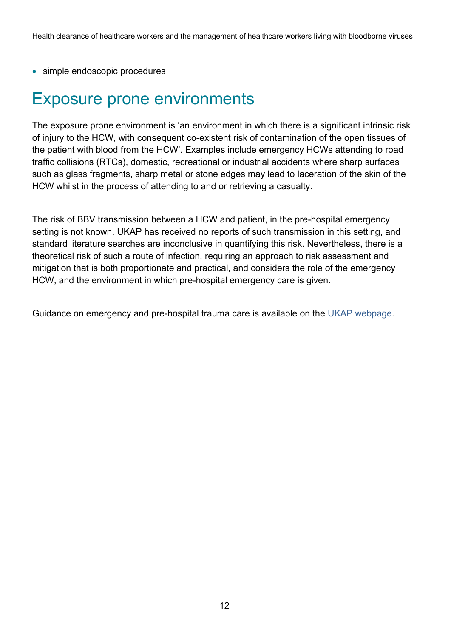• simple endoscopic procedures

### <span id="page-11-0"></span>Exposure prone environments

The exposure prone environment is 'an environment in which there is a significant intrinsic risk of injury to the HCW, with consequent co-existent risk of contamination of the open tissues of the patient with blood from the HCW'. Examples include emergency HCWs attending to road traffic collisions (RTCs), domestic, recreational or industrial accidents where sharp surfaces such as glass fragments, sharp metal or stone edges may lead to laceration of the skin of the HCW whilst in the process of attending to and or retrieving a casualty.

The risk of BBV transmission between a HCW and patient, in the pre-hospital emergency setting is not known. UKAP has received no reports of such transmission in this setting, and standard literature searches are inconclusive in quantifying this risk. Nevertheless, there is a theoretical risk of such a route of infection, requiring an approach to risk assessment and mitigation that is both proportionate and practical, and considers the role of the emergency HCW, and the environment in which pre-hospital emergency care is given.

Guidance on emergency and pre-hospital trauma care is available on the [UKAP webpage.](https://www.gov.uk/government/publications/emergency-healthcare-workers-exposure-prone-procedures)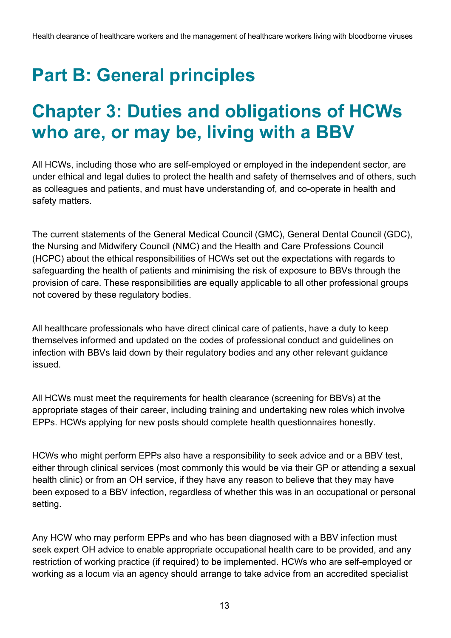# <span id="page-12-0"></span>**Part B: General principles**

## <span id="page-12-1"></span>**Chapter 3: Duties and obligations of HCWs who are, or may be, living with a BBV**

All HCWs, including those who are self-employed or employed in the independent sector, are under ethical and legal duties to protect the health and safety of themselves and of others, such as colleagues and patients, and must have understanding of, and co-operate in health and safety matters.

The current statements of the General Medical Council (GMC), General Dental Council (GDC), the Nursing and Midwifery Council (NMC) and the Health and Care Professions Council (HCPC) about the ethical responsibilities of HCWs set out the expectations with regards to safeguarding the health of patients and minimising the risk of exposure to BBVs through the provision of care. These responsibilities are equally applicable to all other professional groups not covered by these regulatory bodies.

All healthcare professionals who have direct clinical care of patients, have a duty to keep themselves informed and updated on the codes of professional conduct and guidelines on infection with BBVs laid down by their regulatory bodies and any other relevant guidance issued.

All HCWs must meet the requirements for health clearance (screening for BBVs) at the appropriate stages of their career, including training and undertaking new roles which involve EPPs. HCWs applying for new posts should complete health questionnaires honestly.

HCWs who might perform EPPs also have a responsibility to seek advice and or a BBV test, either through clinical services (most commonly this would be via their GP or attending a sexual health clinic) or from an OH service, if they have any reason to believe that they may have been exposed to a BBV infection, regardless of whether this was in an occupational or personal setting.

Any HCW who may perform EPPs and who has been diagnosed with a BBV infection must seek expert OH advice to enable appropriate occupational health care to be provided, and any restriction of working practice (if required) to be implemented. HCWs who are self-employed or working as a locum via an agency should arrange to take advice from an accredited specialist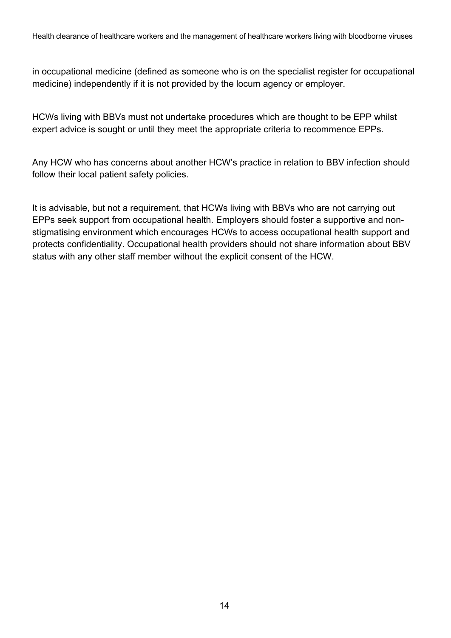in occupational medicine (defined as someone who is on the specialist register for occupational medicine) independently if it is not provided by the locum agency or employer.

HCWs living with BBVs must not undertake procedures which are thought to be EPP whilst expert advice is sought or until they meet the appropriate criteria to recommence EPPs.

Any HCW who has concerns about another HCW's practice in relation to BBV infection should follow their local patient safety policies.

It is advisable, but not a requirement, that HCWs living with BBVs who are not carrying out EPPs seek support from occupational health. Employers should foster a supportive and nonstigmatising environment which encourages HCWs to access occupational health support and protects confidentiality. Occupational health providers should not share information about BBV status with any other staff member without the explicit consent of the HCW.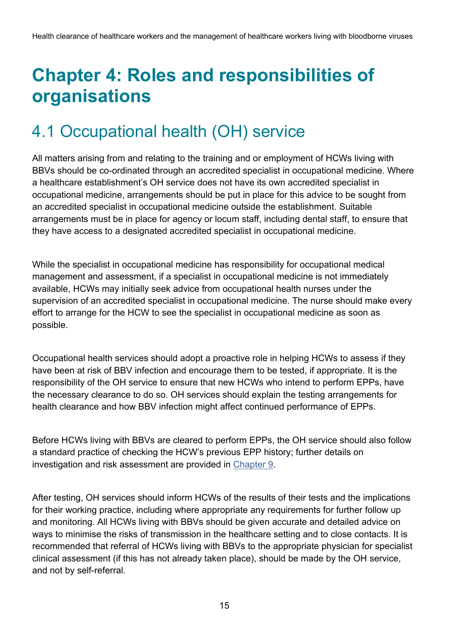## <span id="page-14-0"></span>**Chapter 4: Roles and responsibilities of organisations**

## <span id="page-14-1"></span>4.1 Occupational health (OH) service

All matters arising from and relating to the training and or employment of HCWs living with BBVs should be co-ordinated through an accredited specialist in occupational medicine. Where a healthcare establishment's OH service does not have its own accredited specialist in occupational medicine, arrangements should be put in place for this advice to be sought from an accredited specialist in occupational medicine outside the establishment. Suitable arrangements must be in place for agency or locum staff, including dental staff, to ensure that they have access to a designated accredited specialist in occupational medicine.

While the specialist in occupational medicine has responsibility for occupational medical management and assessment, if a specialist in occupational medicine is not immediately available, HCWs may initially seek advice from occupational health nurses under the supervision of an accredited specialist in occupational medicine. The nurse should make every effort to arrange for the HCW to see the specialist in occupational medicine as soon as possible.

Occupational health services should adopt a proactive role in helping HCWs to assess if they have been at risk of BBV infection and encourage them to be tested, if appropriate. It is the responsibility of the OH service to ensure that new HCWs who intend to perform EPPs, have the necessary clearance to do so. OH services should explain the testing arrangements for health clearance and how BBV infection might affect continued performance of EPPs.

Before HCWs living with BBVs are cleared to perform EPPs, the OH service should also follow a standard practice of checking the HCW's previous EPP history; further details on investigation and risk assessment are provided in [Chapter 9.](#page-41-0)

After testing, OH services should inform HCWs of the results of their tests and the implications for their working practice, including where appropriate any requirements for further follow up and monitoring. All HCWs living with BBVs should be given accurate and detailed advice on ways to minimise the risks of transmission in the healthcare setting and to close contacts. It is recommended that referral of HCWs living with BBVs to the appropriate physician for specialist clinical assessment (if this has not already taken place), should be made by the OH service, and not by self-referral.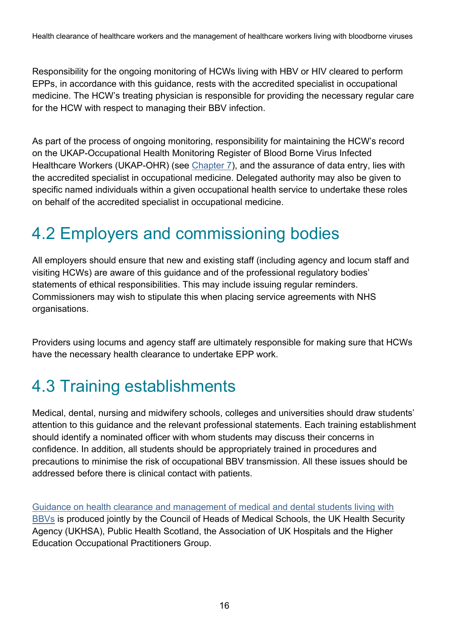Responsibility for the ongoing monitoring of HCWs living with HBV or HIV cleared to perform EPPs, in accordance with this guidance, rests with the accredited specialist in occupational medicine. The HCW's treating physician is responsible for providing the necessary regular care for the HCW with respect to managing their BBV infection.

As part of the process of ongoing monitoring, responsibility for maintaining the HCW's record on the UKAP-Occupational Health Monitoring Register of Blood Borne Virus Infected Healthcare Workers (UKAP-OHR) (see [Chapter 7\)](#page-27-1), and the assurance of data entry, lies with the accredited specialist in occupational medicine. Delegated authority may also be given to specific named individuals within a given occupational health service to undertake these roles on behalf of the accredited specialist in occupational medicine.

### <span id="page-15-0"></span>4.2 Employers and commissioning bodies

All employers should ensure that new and existing staff (including agency and locum staff and visiting HCWs) are aware of this guidance and of the professional regulatory bodies' statements of ethical responsibilities. This may include issuing regular reminders. Commissioners may wish to stipulate this when placing service agreements with NHS organisations.

Providers using locums and agency staff are ultimately responsible for making sure that HCWs have the necessary health clearance to undertake EPP work.

## <span id="page-15-1"></span>4.3 Training establishments

Medical, dental, nursing and midwifery schools, colleges and universities should draw students' attention to this guidance and the relevant professional statements. Each training establishment should identify a nominated officer with whom students may discuss their concerns in confidence. In addition, all students should be appropriately trained in procedures and precautions to minimise the risk of occupational BBV transmission. All these issues should be addressed before there is clinical contact with patients.

[Guidance on health clearance and management of medical and dental students living with](https://www.gov.uk/government/publications/new-healthcare-workers-clearance-for-hepatitis-b-and-c-tb-hiv)  [BBVs](https://www.gov.uk/government/publications/new-healthcare-workers-clearance-for-hepatitis-b-and-c-tb-hiv) is produced jointly by the Council of Heads of Medical Schools, the UK Health Security Agency (UKHSA), Public Health Scotland, the Association of UK Hospitals and the Higher Education Occupational Practitioners Group.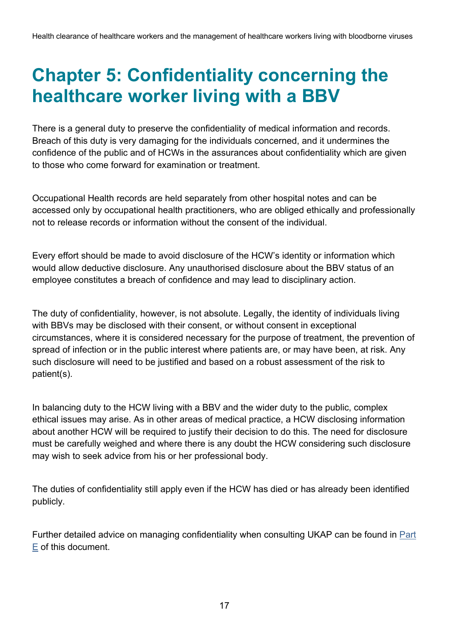## <span id="page-16-0"></span>**Chapter 5: Confidentiality concerning the healthcare worker living with a BBV**

There is a general duty to preserve the confidentiality of medical information and records. Breach of this duty is very damaging for the individuals concerned, and it undermines the confidence of the public and of HCWs in the assurances about confidentiality which are given to those who come forward for examination or treatment.

Occupational Health records are held separately from other hospital notes and can be accessed only by occupational health practitioners, who are obliged ethically and professionally not to release records or information without the consent of the individual.

Every effort should be made to avoid disclosure of the HCW's identity or information which would allow deductive disclosure. Any unauthorised disclosure about the BBV status of an employee constitutes a breach of confidence and may lead to disciplinary action.

The duty of confidentiality, however, is not absolute. Legally, the identity of individuals living with BBVs may be disclosed with their consent, or without consent in exceptional circumstances, where it is considered necessary for the purpose of treatment, the prevention of spread of infection or in the public interest where patients are, or may have been, at risk. Any such disclosure will need to be justified and based on a robust assessment of the risk to patient(s).

In balancing duty to the HCW living with a BBV and the wider duty to the public, complex ethical issues may arise. As in other areas of medical practice, a HCW disclosing information about another HCW will be required to justify their decision to do this. The need for disclosure must be carefully weighed and where there is any doubt the HCW considering such disclosure may wish to seek advice from his or her professional body.

The duties of confidentiality still apply even if the HCW has died or has already been identified publicly.

Further detailed advice on managing confidentiality when consulting UKAP can be found in Part E of this document.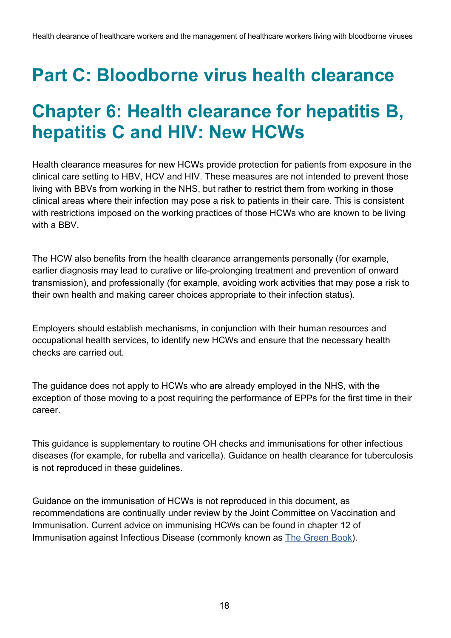## <span id="page-17-0"></span>**Part C: Bloodborne virus health clearance**

## <span id="page-17-1"></span>**Chapter 6: Health clearance for hepatitis B, hepatitis C and HIV: New HCWs**

Health clearance measures for new HCWs provide protection for patients from exposure in the clinical care setting to HBV, HCV and HIV. These measures are not intended to prevent those living with BBVs from working in the NHS, but rather to restrict them from working in those clinical areas where their infection may pose a risk to patients in their care. This is consistent with restrictions imposed on the working practices of those HCWs who are known to be living with a BBV

The HCW also benefits from the health clearance arrangements personally (for example, earlier diagnosis may lead to curative or life-prolonging treatment and prevention of onward transmission), and professionally (for example, avoiding work activities that may pose a risk to their own health and making career choices appropriate to their infection status).

Employers should establish mechanisms, in conjunction with their human resources and occupational health services, to identify new HCWs and ensure that the necessary health checks are carried out.

The guidance does not apply to HCWs who are already employed in the NHS, with the exception of those moving to a post requiring the performance of EPPs for the first time in their career.

This guidance is supplementary to routine OH checks and immunisations for other infectious diseases (for example, for rubella and varicella). Guidance on health clearance for tuberculosis is not reproduced in these guidelines.

Guidance on the immunisation of HCWs is not reproduced in this document, as recommendations are continually under review by the Joint Committee on Vaccination and Immunisation. Current advice on immunising HCWs can be found in chapter 12 of Immunisation against Infectious Disease (commonly known as **The Green Book**).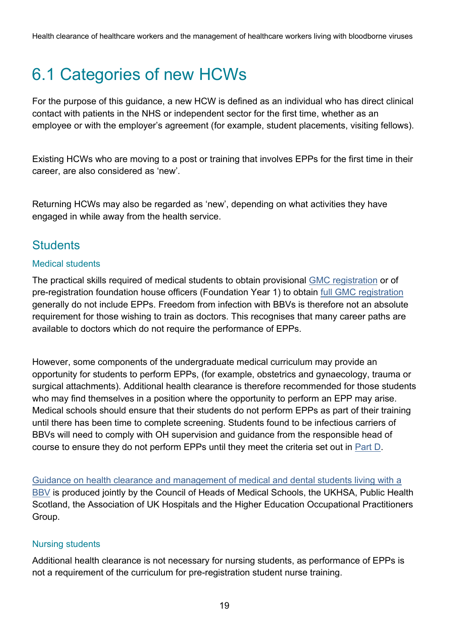## <span id="page-18-0"></span>6.1 Categories of new HCWs

For the purpose of this guidance, a new HCW is defined as an individual who has direct clinical contact with patients in the NHS or independent sector for the first time, whether as an employee or with the employer's agreement (for example, student placements, visiting fellows).

Existing HCWs who are moving to a post or training that involves EPPs for the first time in their career, are also considered as 'new'.

Returning HCWs may also be regarded as 'new', depending on what activities they have engaged in while away from the health service.

#### **Students**

#### Medical students

The practical skills required of medical students to obtain provisional [GMC registration](https://www.gmc-uk.org/education/standards-guidance-and-curricula/standards-and-outcomes/outcomes-for-graduates) or of pre-registration foundation house officers (Foundation Year 1) to obtain [full GMC registration](https://www.gmc-uk.org/education/standards-guidance-and-curricula/standards-and-outcomes/promoting-excellence) generally do not include EPPs. Freedom from infection with BBVs is therefore not an absolute requirement for those wishing to train as doctors. This recognises that many career paths are available to doctors which do not require the performance of EPPs.

However, some components of the undergraduate medical curriculum may provide an opportunity for students to perform EPPs, (for example, obstetrics and gynaecology, trauma or surgical attachments). Additional health clearance is therefore recommended for those students who may find themselves in a position where the opportunity to perform an EPP may arise. Medical schools should ensure that their students do not perform EPPs as part of their training until there has been time to complete screening. Students found to be infectious carriers of BBVs will need to comply with OH supervision and guidance from the responsible head of course to ensure they do not perform EPPs until they meet the criteria set out in Part D.

[Guidance on health clearance and management of medical and dental students living with a](file:///C:/Users/Richard.N.Allen/Downloads/here)  [BBV](file:///C:/Users/Richard.N.Allen/Downloads/here) is produced jointly by the Council of Heads of Medical Schools, the UKHSA, Public Health Scotland, the Association of UK Hospitals and the Higher Education Occupational Practitioners Group.

#### Nursing students

Additional health clearance is not necessary for nursing students, as performance of EPPs is not a requirement of the curriculum for pre-registration student nurse training.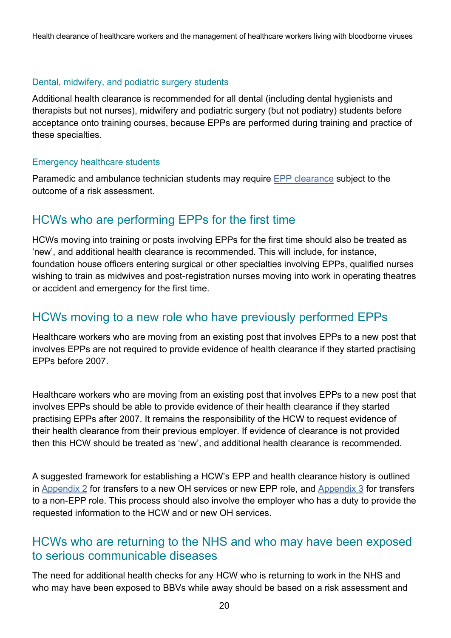Health clearance of healthcare workers and the management of healthcare workers living with bloodborne viruses

#### Dental, midwifery, and podiatric surgery students

Additional health clearance is recommended for all dental (including dental hygienists and therapists but not nurses), midwifery and podiatric surgery (but not podiatry) students before acceptance onto training courses, because EPPs are performed during training and practice of these specialties.

#### Emergency healthcare students

Paramedic and ambulance technician students may require [EPP clearance](https://www.gov.uk/government/publications/emergency-healthcare-workers-exposure-prone-procedures) subject to the outcome of a risk assessment.

#### HCWs who are performing EPPs for the first time

HCWs moving into training or posts involving EPPs for the first time should also be treated as 'new', and additional health clearance is recommended. This will include, for instance, foundation house officers entering surgical or other specialties involving EPPs, qualified nurses wishing to train as midwives and post-registration nurses moving into work in operating theatres or accident and emergency for the first time.

#### HCWs moving to a new role who have previously performed EPPs

Healthcare workers who are moving from an existing post that involves EPPs to a new post that involves EPPs are not required to provide evidence of health clearance if they started practising EPPs before 2007.

Healthcare workers who are moving from an existing post that involves EPPs to a new post that involves EPPs should be able to provide evidence of their health clearance if they started practising EPPs after 2007. It remains the responsibility of the HCW to request evidence of their health clearance from their previous employer. If evidence of clearance is not provided then this HCW should be treated as 'new', and additional health clearance is recommended.

A suggested framework for establishing a HCW's EPP and health clearance history is outlined in [Appendix 2](#page-51-0) for transfers to a new OH services or new EPP role, and Appendix  $3$  for transfers to a non-EPP role. This process should also involve the employer who has a duty to provide the requested information to the HCW and or new OH services.

#### HCWs who are returning to the NHS and who may have been exposed to serious communicable diseases

The need for additional health checks for any HCW who is returning to work in the NHS and who may have been exposed to BBVs while away should be based on a risk assessment and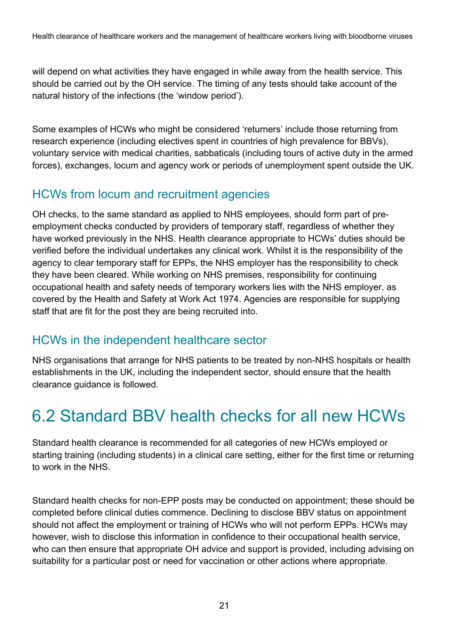will depend on what activities they have engaged in while away from the health service. This should be carried out by the OH service. The timing of any tests should take account of the natural history of the infections (the 'window period').

Some examples of HCWs who might be considered 'returners' include those returning from research experience (including electives spent in countries of high prevalence for BBVs), voluntary service with medical charities, sabbaticals (including tours of active duty in the armed forces), exchanges, locum and agency work or periods of unemployment spent outside the UK.

#### HCWs from locum and recruitment agencies

OH checks, to the same standard as applied to NHS employees, should form part of preemployment checks conducted by providers of temporary staff, regardless of whether they have worked previously in the NHS. Health clearance appropriate to HCWs' duties should be verified before the individual undertakes any clinical work. Whilst it is the responsibility of the agency to clear temporary staff for EPPs, the NHS employer has the responsibility to check they have been cleared. While working on NHS premises, responsibility for continuing occupational health and safety needs of temporary workers lies with the NHS employer, as covered by the Health and Safety at Work Act 1974. Agencies are responsible for supplying staff that are fit for the post they are being recruited into.

#### HCWs in the independent healthcare sector

NHS organisations that arrange for NHS patients to be treated by non-NHS hospitals or health establishments in the UK, including the independent sector, should ensure that the health clearance guidance is followed.

## <span id="page-20-0"></span>6.2 Standard BBV health checks for all new HCWs

Standard health clearance is recommended for all categories of new HCWs employed or starting training (including students) in a clinical care setting, either for the first time or returning to work in the NHS.

Standard health checks for non-EPP posts may be conducted on appointment; these should be completed before clinical duties commence. Declining to disclose BBV status on appointment should not affect the employment or training of HCWs who will not perform EPPs. HCWs may however, wish to disclose this information in confidence to their occupational health service, who can then ensure that appropriate OH advice and support is provided, including advising on suitability for a particular post or need for vaccination or other actions where appropriate.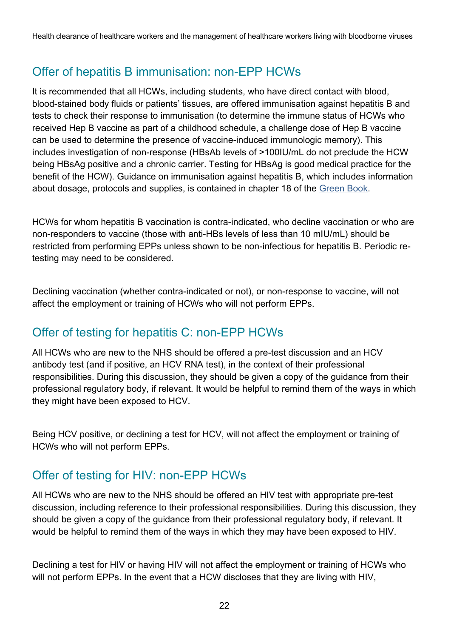### Offer of hepatitis B immunisation: non-EPP HCWs

It is recommended that all HCWs, including students, who have direct contact with blood, blood-stained body fluids or patients' tissues, are offered immunisation against hepatitis B and tests to check their response to immunisation (to determine the immune status of HCWs who received Hep B vaccine as part of a childhood schedule, a challenge dose of Hep B vaccine can be used to determine the presence of vaccine-induced immunologic memory). This includes investigation of non-response (HBsAb levels of >100IU/mL do not preclude the HCW being HBsAg positive and a chronic carrier. Testing for HBsAg is good medical practice for the benefit of the HCW). Guidance on immunisation against hepatitis B, which includes information about dosage, protocols and supplies, is contained in chapter 18 of the [Green Book.](https://www.gov.uk/government/collections/immunisation-against-infectious-disease-the-green-book)

HCWs for whom hepatitis B vaccination is contra-indicated, who decline vaccination or who are non-responders to vaccine (those with anti-HBs levels of less than 10 mIU/mL) should be restricted from performing EPPs unless shown to be non-infectious for hepatitis B. Periodic retesting may need to be considered.

Declining vaccination (whether contra-indicated or not), or non-response to vaccine, will not affect the employment or training of HCWs who will not perform EPPs.

#### Offer of testing for hepatitis C: non-EPP HCWs

All HCWs who are new to the NHS should be offered a pre-test discussion and an HCV antibody test (and if positive, an HCV RNA test), in the context of their professional responsibilities. During this discussion, they should be given a copy of the guidance from their professional regulatory body, if relevant. It would be helpful to remind them of the ways in which they might have been exposed to HCV.

Being HCV positive, or declining a test for HCV, will not affect the employment or training of HCWs who will not perform EPPs.

### Offer of testing for HIV: non-EPP HCWs

All HCWs who are new to the NHS should be offered an HIV test with appropriate pre-test discussion, including reference to their professional responsibilities. During this discussion, they should be given a copy of the guidance from their professional regulatory body, if relevant. It would be helpful to remind them of the ways in which they may have been exposed to HIV.

Declining a test for HIV or having HIV will not affect the employment or training of HCWs who will not perform EPPs. In the event that a HCW discloses that they are living with HIV,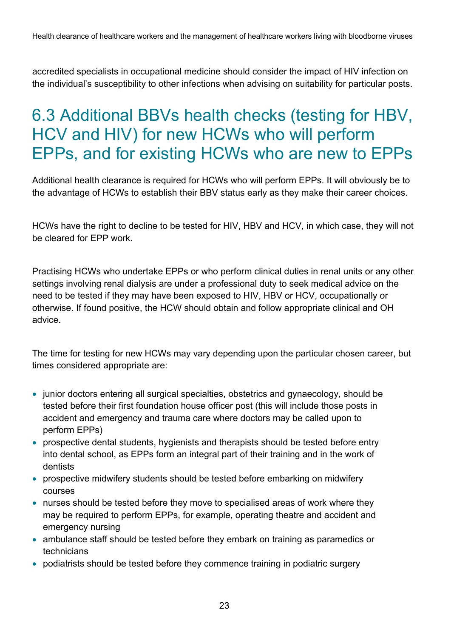accredited specialists in occupational medicine should consider the impact of HIV infection on the individual's susceptibility to other infections when advising on suitability for particular posts.

### <span id="page-22-0"></span>6.3 Additional BBVs health checks (testing for HBV, HCV and HIV) for new HCWs who will perform EPPs, and for existing HCWs who are new to EPPs

Additional health clearance is required for HCWs who will perform EPPs. It will obviously be to the advantage of HCWs to establish their BBV status early as they make their career choices.

HCWs have the right to decline to be tested for HIV, HBV and HCV, in which case, they will not be cleared for EPP work.

Practising HCWs who undertake EPPs or who perform clinical duties in renal units or any other settings involving renal dialysis are under a professional duty to seek medical advice on the need to be tested if they may have been exposed to HIV, HBV or HCV, occupationally or otherwise. If found positive, the HCW should obtain and follow appropriate clinical and OH advice.

The time for testing for new HCWs may vary depending upon the particular chosen career, but times considered appropriate are:

- junior doctors entering all surgical specialties, obstetrics and gynaecology, should be tested before their first foundation house officer post (this will include those posts in accident and emergency and trauma care where doctors may be called upon to perform EPPs)
- prospective dental students, hygienists and therapists should be tested before entry into dental school, as EPPs form an integral part of their training and in the work of dentists
- prospective midwifery students should be tested before embarking on midwifery courses
- nurses should be tested before they move to specialised areas of work where they may be required to perform EPPs, for example, operating theatre and accident and emergency nursing
- ambulance staff should be tested before they embark on training as paramedics or technicians
- podiatrists should be tested before they commence training in podiatric surgery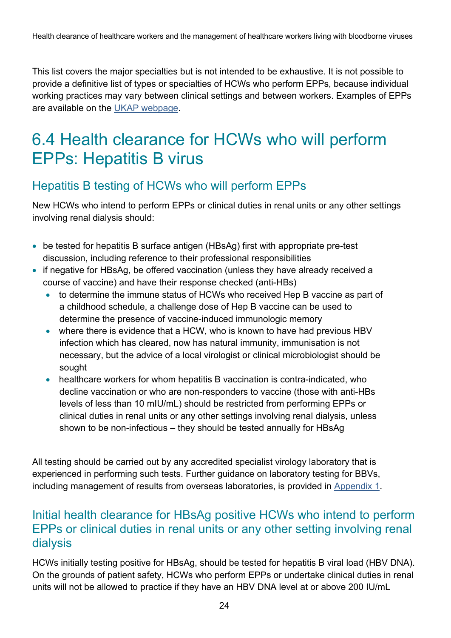This list covers the major specialties but is not intended to be exhaustive. It is not possible to provide a definitive list of types or specialties of HCWs who perform EPPs, because individual working practices may vary between clinical settings and between workers. Examples of EPPs are available on the [UKAP webpage.](https://www.gov.uk/government/groups/uk-advisory-panel-for-healthcare-workers-infected-with-bloodborne-viruses)

### <span id="page-23-0"></span>6.4 Health clearance for HCWs who will perform EPPs: Hepatitis B virus

#### Hepatitis B testing of HCWs who will perform EPPs

New HCWs who intend to perform EPPs or clinical duties in renal units or any other settings involving renal dialysis should:

- be tested for hepatitis B surface antigen (HBsAg) first with appropriate pre-test discussion, including reference to their professional responsibilities
- if negative for HBsAg, be offered vaccination (unless they have already received a course of vaccine) and have their response checked (anti-HBs)
	- to determine the immune status of HCWs who received Hep B vaccine as part of a childhood schedule, a challenge dose of Hep B vaccine can be used to determine the presence of vaccine-induced immunologic memory
	- where there is evidence that a HCW, who is known to have had previous HBV infection which has cleared, now has natural immunity, immunisation is not necessary, but the advice of a local virologist or clinical microbiologist should be sought
	- healthcare workers for whom hepatitis B vaccination is contra-indicated, who decline vaccination or who are non-responders to vaccine (those with anti-HBs levels of less than 10 mIU/mL) should be restricted from performing EPPs or clinical duties in renal units or any other settings involving renal dialysis, unless shown to be non-infectious – they should be tested annually for HBsAg

All testing should be carried out by any accredited specialist virology laboratory that is experienced in performing such tests. Further guidance on laboratory testing for BBVs, including management of results from overseas laboratories, is provided in [Appendix 1.](#page-47-0)

#### Initial health clearance for HBsAg positive HCWs who intend to perform EPPs or clinical duties in renal units or any other setting involving renal dialysis

HCWs initially testing positive for HBsAg, should be tested for hepatitis B viral load (HBV DNA). On the grounds of patient safety, HCWs who perform EPPs or undertake clinical duties in renal units will not be allowed to practice if they have an HBV DNA level at or above 200 IU/mL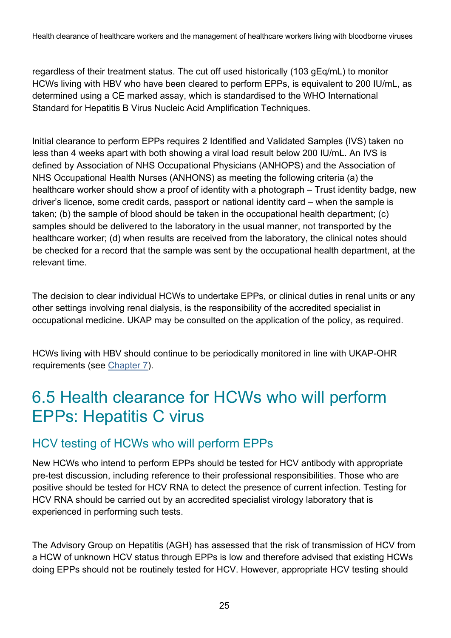regardless of their treatment status. The cut off used historically (103 gEq/mL) to monitor HCWs living with HBV who have been cleared to perform EPPs, is equivalent to 200 IU/mL, as determined using a CE marked assay, which is standardised to the WHO International Standard for Hepatitis B Virus Nucleic Acid Amplification Techniques.

Initial clearance to perform EPPs requires 2 Identified and Validated Samples (IVS) taken no less than 4 weeks apart with both showing a viral load result below 200 IU/mL. An IVS is defined by Association of NHS Occupational Physicians (ANHOPS) and the Association of NHS Occupational Health Nurses (ANHONS) as meeting the following criteria (a) the healthcare worker should show a proof of identity with a photograph – Trust identity badge, new driver's licence, some credit cards, passport or national identity card – when the sample is taken; (b) the sample of blood should be taken in the occupational health department; (c) samples should be delivered to the laboratory in the usual manner, not transported by the healthcare worker; (d) when results are received from the laboratory, the clinical notes should be checked for a record that the sample was sent by the occupational health department, at the relevant time.

The decision to clear individual HCWs to undertake EPPs, or clinical duties in renal units or any other settings involving renal dialysis, is the responsibility of the accredited specialist in occupational medicine. UKAP may be consulted on the application of the policy, as required.

HCWs living with HBV should continue to be periodically monitored in line with UKAP-OHR requirements (see [Chapter 7\)](#page-27-1).

### <span id="page-24-0"></span>6.5 Health clearance for HCWs who will perform EPPs: Hepatitis C virus

#### HCV testing of HCWs who will perform EPPs

New HCWs who intend to perform EPPs should be tested for HCV antibody with appropriate pre-test discussion, including reference to their professional responsibilities. Those who are positive should be tested for HCV RNA to detect the presence of current infection. Testing for HCV RNA should be carried out by an accredited specialist virology laboratory that is experienced in performing such tests.

The Advisory Group on Hepatitis (AGH) has assessed that the risk of transmission of HCV from a HCW of unknown HCV status through EPPs is low and therefore advised that existing HCWs doing EPPs should not be routinely tested for HCV. However, appropriate HCV testing should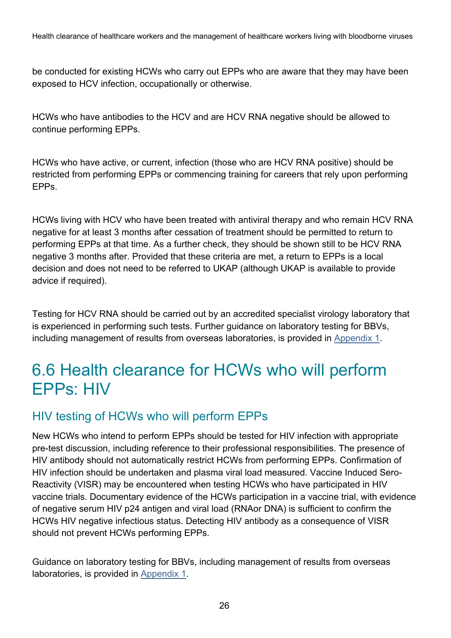Health clearance of healthcare workers and the management of healthcare workers living with bloodborne viruses

be conducted for existing HCWs who carry out EPPs who are aware that they may have been exposed to HCV infection, occupationally or otherwise.

HCWs who have antibodies to the HCV and are HCV RNA negative should be allowed to continue performing EPPs.

HCWs who have active, or current, infection (those who are HCV RNA positive) should be restricted from performing EPPs or commencing training for careers that rely upon performing EPPs.

HCWs living with HCV who have been treated with antiviral therapy and who remain HCV RNA negative for at least 3 months after cessation of treatment should be permitted to return to performing EPPs at that time. As a further check, they should be shown still to be HCV RNA negative 3 months after. Provided that these criteria are met, a return to EPPs is a local decision and does not need to be referred to UKAP (although UKAP is available to provide advice if required).

Testing for HCV RNA should be carried out by an accredited specialist virology laboratory that is experienced in performing such tests. Further guidance on laboratory testing for BBVs, including management of results from overseas laboratories, is provided in [Appendix 1.](#page-47-0)

### <span id="page-25-0"></span>6.6 Health clearance for HCWs who will perform EPPs: HIV

#### HIV testing of HCWs who will perform EPPs

New HCWs who intend to perform EPPs should be tested for HIV infection with appropriate pre-test discussion, including reference to their professional responsibilities. The presence of HIV antibody should not automatically restrict HCWs from performing EPPs. Confirmation of HIV infection should be undertaken and plasma viral load measured. Vaccine Induced Sero-Reactivity (VISR) may be encountered when testing HCWs who have participated in HIV vaccine trials. Documentary evidence of the HCWs participation in a vaccine trial, with evidence of negative serum HIV p24 antigen and viral load (RNAor DNA) is sufficient to confirm the HCWs HIV negative infectious status. Detecting HIV antibody as a consequence of VISR should not prevent HCWs performing EPPs.

Guidance on laboratory testing for BBVs, including management of results from overseas laboratories, is provided in [Appendix 1.](#page-47-0)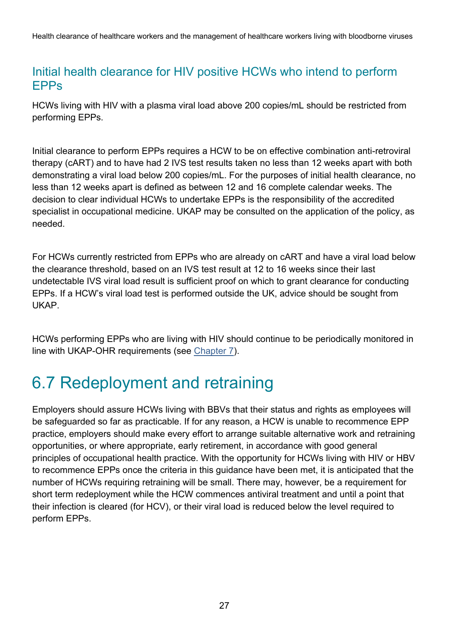#### Initial health clearance for HIV positive HCWs who intend to perform EPPs

HCWs living with HIV with a plasma viral load above 200 copies/mL should be restricted from performing EPPs.

Initial clearance to perform EPPs requires a HCW to be on effective combination anti-retroviral therapy (cART) and to have had 2 IVS test results taken no less than 12 weeks apart with both demonstrating a viral load below 200 copies/mL. For the purposes of initial health clearance, no less than 12 weeks apart is defined as between 12 and 16 complete calendar weeks. The decision to clear individual HCWs to undertake EPPs is the responsibility of the accredited specialist in occupational medicine. UKAP may be consulted on the application of the policy, as needed.

For HCWs currently restricted from EPPs who are already on cART and have a viral load below the clearance threshold, based on an IVS test result at 12 to 16 weeks since their last undetectable IVS viral load result is sufficient proof on which to grant clearance for conducting EPPs. If a HCW's viral load test is performed outside the UK, advice should be sought from UKAP.

HCWs performing EPPs who are living with HIV should continue to be periodically monitored in line with UKAP-OHR requirements (see [Chapter 7\)](#page-27-1).

## <span id="page-26-0"></span>6.7 Redeployment and retraining

Employers should assure HCWs living with BBVs that their status and rights as employees will be safeguarded so far as practicable. If for any reason, a HCW is unable to recommence EPP practice, employers should make every effort to arrange suitable alternative work and retraining opportunities, or where appropriate, early retirement, in accordance with good general principles of occupational health practice. With the opportunity for HCWs living with HIV or HBV to recommence EPPs once the criteria in this guidance have been met, it is anticipated that the number of HCWs requiring retraining will be small. There may, however, be a requirement for short term redeployment while the HCW commences antiviral treatment and until a point that their infection is cleared (for HCV), or their viral load is reduced below the level required to perform EPPs.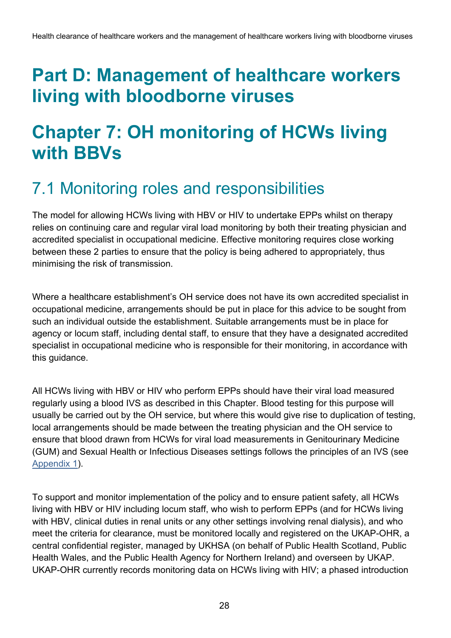## <span id="page-27-0"></span>**Part D: Management of healthcare workers living with bloodborne viruses**

## <span id="page-27-1"></span>**Chapter 7: OH monitoring of HCWs living with BBVs**

### <span id="page-27-2"></span>7.1 Monitoring roles and responsibilities

The model for allowing HCWs living with HBV or HIV to undertake EPPs whilst on therapy relies on continuing care and regular viral load monitoring by both their treating physician and accredited specialist in occupational medicine. Effective monitoring requires close working between these 2 parties to ensure that the policy is being adhered to appropriately, thus minimising the risk of transmission.

Where a healthcare establishment's OH service does not have its own accredited specialist in occupational medicine, arrangements should be put in place for this advice to be sought from such an individual outside the establishment. Suitable arrangements must be in place for agency or locum staff, including dental staff, to ensure that they have a designated accredited specialist in occupational medicine who is responsible for their monitoring, in accordance with this guidance.

All HCWs living with HBV or HIV who perform EPPs should have their viral load measured regularly using a blood IVS as described in this Chapter. Blood testing for this purpose will usually be carried out by the OH service, but where this would give rise to duplication of testing, local arrangements should be made between the treating physician and the OH service to ensure that blood drawn from HCWs for viral load measurements in Genitourinary Medicine (GUM) and Sexual Health or Infectious Diseases settings follows the principles of an IVS (see [Appendix 1\)](#page-47-0).

To support and monitor implementation of the policy and to ensure patient safety, all HCWs living with HBV or HIV including locum staff, who wish to perform EPPs (and for HCWs living with HBV, clinical duties in renal units or any other settings involving renal dialysis), and who meet the criteria for clearance, must be monitored locally and registered on the UKAP-OHR, a central confidential register, managed by UKHSA (on behalf of Public Health Scotland, Public Health Wales, and the Public Health Agency for Northern Ireland) and overseen by UKAP. UKAP-OHR currently records monitoring data on HCWs living with HIV; a phased introduction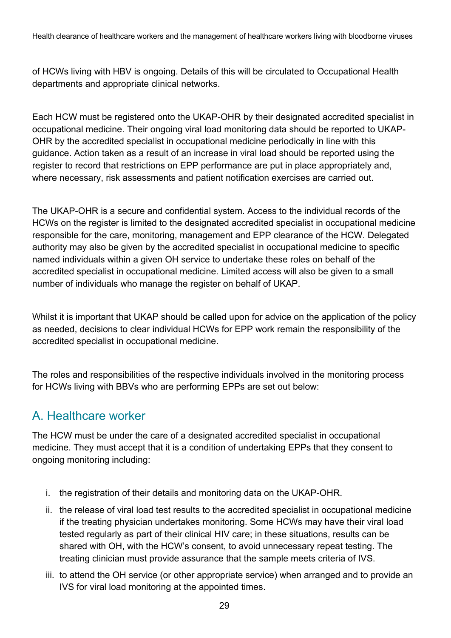Health clearance of healthcare workers and the management of healthcare workers living with bloodborne viruses

of HCWs living with HBV is ongoing. Details of this will be circulated to Occupational Health departments and appropriate clinical networks.

Each HCW must be registered onto the UKAP-OHR by their designated accredited specialist in occupational medicine. Their ongoing viral load monitoring data should be reported to UKAP-OHR by the accredited specialist in occupational medicine periodically in line with this guidance. Action taken as a result of an increase in viral load should be reported using the register to record that restrictions on EPP performance are put in place appropriately and, where necessary, risk assessments and patient notification exercises are carried out.

The UKAP-OHR is a secure and confidential system. Access to the individual records of the HCWs on the register is limited to the designated accredited specialist in occupational medicine responsible for the care, monitoring, management and EPP clearance of the HCW. Delegated authority may also be given by the accredited specialist in occupational medicine to specific named individuals within a given OH service to undertake these roles on behalf of the accredited specialist in occupational medicine. Limited access will also be given to a small number of individuals who manage the register on behalf of UKAP.

Whilst it is important that UKAP should be called upon for advice on the application of the policy as needed, decisions to clear individual HCWs for EPP work remain the responsibility of the accredited specialist in occupational medicine.

The roles and responsibilities of the respective individuals involved in the monitoring process for HCWs living with BBVs who are performing EPPs are set out below:

#### A. Healthcare worker

The HCW must be under the care of a designated accredited specialist in occupational medicine. They must accept that it is a condition of undertaking EPPs that they consent to ongoing monitoring including:

- i. the registration of their details and monitoring data on the UKAP-OHR.
- ii. the release of viral load test results to the accredited specialist in occupational medicine if the treating physician undertakes monitoring. Some HCWs may have their viral load tested regularly as part of their clinical HIV care; in these situations, results can be shared with OH, with the HCW's consent, to avoid unnecessary repeat testing. The treating clinician must provide assurance that the sample meets criteria of IVS.
- iii. to attend the OH service (or other appropriate service) when arranged and to provide an IVS for viral load monitoring at the appointed times.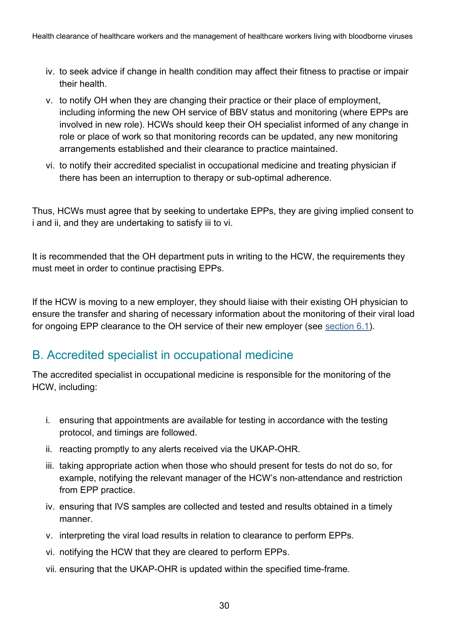- iv. to seek advice if change in health condition may affect their fitness to practise or impair their health.
- v. to notify OH when they are changing their practice or their place of employment, including informing the new OH service of BBV status and monitoring (where EPPs are involved in new role). HCWs should keep their OH specialist informed of any change in role or place of work so that monitoring records can be updated, any new monitoring arrangements established and their clearance to practice maintained.
- vi. to notify their accredited specialist in occupational medicine and treating physician if there has been an interruption to therapy or sub-optimal adherence.

Thus, HCWs must agree that by seeking to undertake EPPs, they are giving implied consent to i and ii, and they are undertaking to satisfy iii to vi.

It is recommended that the OH department puts in writing to the HCW, the requirements they must meet in order to continue practising EPPs.

If the HCW is moving to a new employer, they should liaise with their existing OH physician to ensure the transfer and sharing of necessary information about the monitoring of their viral load for ongoing EPP clearance to the OH service of their new employer (see [section 6.1\)](#page-18-0).

#### B. Accredited specialist in occupational medicine

The accredited specialist in occupational medicine is responsible for the monitoring of the HCW, including:

- i. ensuring that appointments are available for testing in accordance with the testing protocol, and timings are followed.
- ii. reacting promptly to any alerts received via the UKAP-OHR.
- iii. taking appropriate action when those who should present for tests do not do so, for example, notifying the relevant manager of the HCW's non-attendance and restriction from EPP practice.
- iv. ensuring that IVS samples are collected and tested and results obtained in a timely manner.
- v. interpreting the viral load results in relation to clearance to perform EPPs.
- vi. notifying the HCW that they are cleared to perform EPPs.
- vii. ensuring that the UKAP-OHR is updated within the specified time-frame.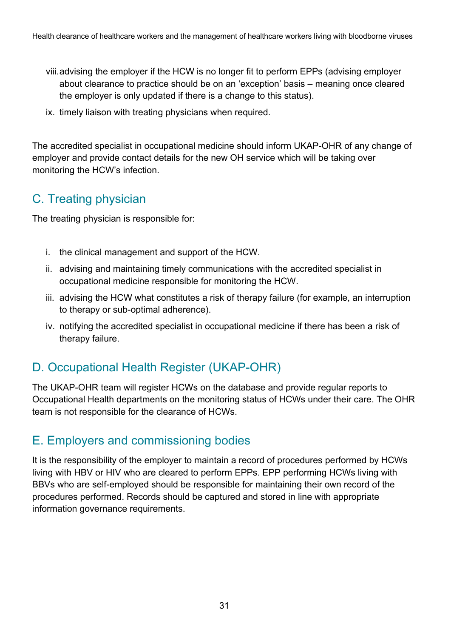- viii.advising the employer if the HCW is no longer fit to perform EPPs (advising employer about clearance to practice should be on an 'exception' basis – meaning once cleared the employer is only updated if there is a change to this status).
- ix. timely liaison with treating physicians when required.

The accredited specialist in occupational medicine should inform UKAP-OHR of any change of employer and provide contact details for the new OH service which will be taking over monitoring the HCW's infection.

### C. Treating physician

The treating physician is responsible for:

- i. the clinical management and support of the HCW.
- ii. advising and maintaining timely communications with the accredited specialist in occupational medicine responsible for monitoring the HCW.
- iii. advising the HCW what constitutes a risk of therapy failure (for example, an interruption to therapy or sub-optimal adherence).
- iv. notifying the accredited specialist in occupational medicine if there has been a risk of therapy failure.

### D. Occupational Health Register (UKAP-OHR)

The UKAP-OHR team will register HCWs on the database and provide regular reports to Occupational Health departments on the monitoring status of HCWs under their care. The OHR team is not responsible for the clearance of HCWs.

### E. Employers and commissioning bodies

It is the responsibility of the employer to maintain a record of procedures performed by HCWs living with HBV or HIV who are cleared to perform EPPs. EPP performing HCWs living with BBVs who are self-employed should be responsible for maintaining their own record of the procedures performed. Records should be captured and stored in line with appropriate information governance requirements.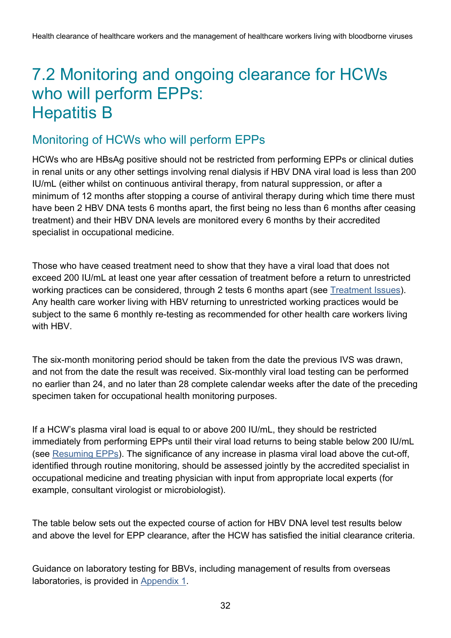### <span id="page-31-0"></span>7.2 Monitoring and ongoing clearance for HCWs who will perform EPPs: Hepatitis B

#### Monitoring of HCWs who will perform EPPs

HCWs who are HBsAg positive should not be restricted from performing EPPs or clinical duties in renal units or any other settings involving renal dialysis if HBV DNA viral load is less than 200 IU/mL (either whilst on continuous antiviral therapy, from natural suppression, or after a minimum of 12 months after stopping a course of antiviral therapy during which time there must have been 2 HBV DNA tests 6 months apart, the first being no less than 6 months after ceasing treatment) and their HBV DNA levels are monitored every 6 months by their accredited specialist in occupational medicine.

Those who have ceased treatment need to show that they have a viral load that does not exceed 200 IU/mL at least one year after cessation of treatment before a return to unrestricted working practices can be considered, through 2 tests 6 months apart (see [Treatment Issues\)](#page-33-0). Any health care worker living with HBV returning to unrestricted working practices would be subject to the same 6 monthly re-testing as recommended for other health care workers living with HBV

The six-month monitoring period should be taken from the date the previous IVS was drawn, and not from the date the result was received. Six-monthly viral load testing can be performed no earlier than 24, and no later than 28 complete calendar weeks after the date of the preceding specimen taken for occupational health monitoring purposes.

If a HCW's plasma viral load is equal to or above 200 IU/mL, they should be restricted immediately from performing EPPs until their viral load returns to being stable below 200 IU/mL (see [Resuming EPPs\)](#page-33-1). The significance of any increase in plasma viral load above the cut-off, identified through routine monitoring, should be assessed jointly by the accredited specialist in occupational medicine and treating physician with input from appropriate local experts (for example, consultant virologist or microbiologist).

The table below sets out the expected course of action for HBV DNA level test results below and above the level for EPP clearance, after the HCW has satisfied the initial clearance criteria.

Guidance on laboratory testing for BBVs, including management of results from overseas laboratories, is provided in [Appendix 1.](#page-47-0)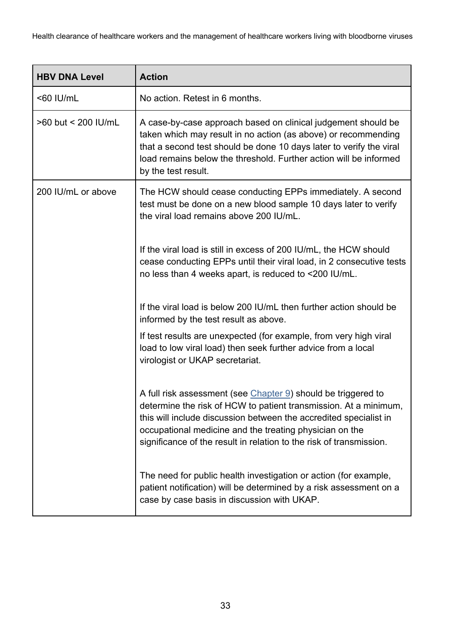| <b>HBV DNA Level</b> | <b>Action</b>                                                                                                                                                                                                                                                                                                                            |  |  |
|----------------------|------------------------------------------------------------------------------------------------------------------------------------------------------------------------------------------------------------------------------------------------------------------------------------------------------------------------------------------|--|--|
| <60 IU/mL            | No action. Retest in 6 months.                                                                                                                                                                                                                                                                                                           |  |  |
| >60 but < 200 IU/mL  | A case-by-case approach based on clinical judgement should be<br>taken which may result in no action (as above) or recommending<br>that a second test should be done 10 days later to verify the viral<br>load remains below the threshold. Further action will be informed<br>by the test result.                                       |  |  |
| 200 IU/mL or above   | The HCW should cease conducting EPPs immediately. A second<br>test must be done on a new blood sample 10 days later to verify<br>the viral load remains above 200 IU/mL.                                                                                                                                                                 |  |  |
|                      | If the viral load is still in excess of 200 IU/mL, the HCW should<br>cease conducting EPPs until their viral load, in 2 consecutive tests<br>no less than 4 weeks apart, is reduced to <200 IU/mL.                                                                                                                                       |  |  |
|                      | If the viral load is below 200 IU/mL then further action should be<br>informed by the test result as above.                                                                                                                                                                                                                              |  |  |
|                      | If test results are unexpected (for example, from very high viral<br>load to low viral load) then seek further advice from a local<br>virologist or UKAP secretariat.                                                                                                                                                                    |  |  |
|                      | A full risk assessment (see Chapter 9) should be triggered to<br>determine the risk of HCW to patient transmission. At a minimum,<br>this will include discussion between the accredited specialist in<br>occupational medicine and the treating physician on the<br>significance of the result in relation to the risk of transmission. |  |  |
|                      | The need for public health investigation or action (for example,<br>patient notification) will be determined by a risk assessment on a<br>case by case basis in discussion with UKAP.                                                                                                                                                    |  |  |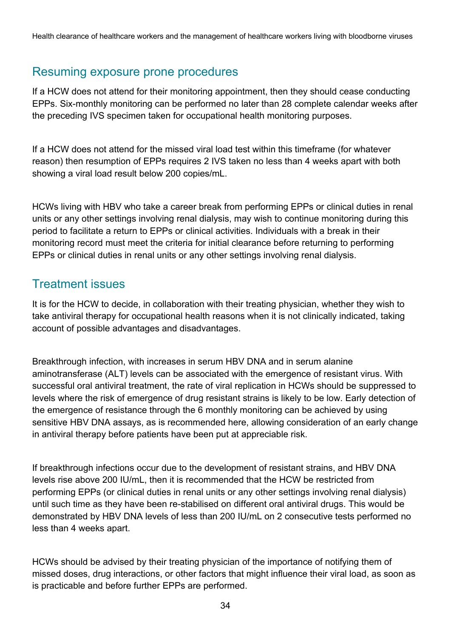#### <span id="page-33-1"></span>Resuming exposure prone procedures

If a HCW does not attend for their monitoring appointment, then they should cease conducting EPPs. Six-monthly monitoring can be performed no later than 28 complete calendar weeks after the preceding IVS specimen taken for occupational health monitoring purposes.

If a HCW does not attend for the missed viral load test within this timeframe (for whatever reason) then resumption of EPPs requires 2 IVS taken no less than 4 weeks apart with both showing a viral load result below 200 copies/mL.

HCWs living with HBV who take a career break from performing EPPs or clinical duties in renal units or any other settings involving renal dialysis, may wish to continue monitoring during this period to facilitate a return to EPPs or clinical activities. Individuals with a break in their monitoring record must meet the criteria for initial clearance before returning to performing EPPs or clinical duties in renal units or any other settings involving renal dialysis.

#### <span id="page-33-0"></span>Treatment issues

It is for the HCW to decide, in collaboration with their treating physician, whether they wish to take antiviral therapy for occupational health reasons when it is not clinically indicated, taking account of possible advantages and disadvantages.

Breakthrough infection, with increases in serum HBV DNA and in serum alanine aminotransferase (ALT) levels can be associated with the emergence of resistant virus. With successful oral antiviral treatment, the rate of viral replication in HCWs should be suppressed to levels where the risk of emergence of drug resistant strains is likely to be low. Early detection of the emergence of resistance through the 6 monthly monitoring can be achieved by using sensitive HBV DNA assays, as is recommended here, allowing consideration of an early change in antiviral therapy before patients have been put at appreciable risk.

If breakthrough infections occur due to the development of resistant strains, and HBV DNA levels rise above 200 IU/mL, then it is recommended that the HCW be restricted from performing EPPs (or clinical duties in renal units or any other settings involving renal dialysis) until such time as they have been re-stabilised on different oral antiviral drugs. This would be demonstrated by HBV DNA levels of less than 200 IU/mL on 2 consecutive tests performed no less than 4 weeks apart.

HCWs should be advised by their treating physician of the importance of notifying them of missed doses, drug interactions, or other factors that might influence their viral load, as soon as is practicable and before further EPPs are performed.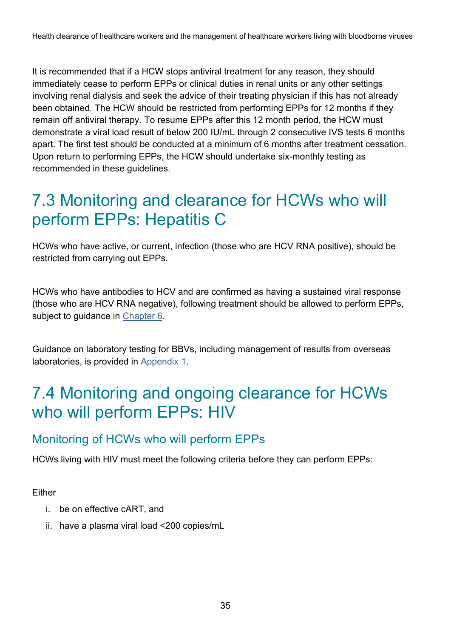It is recommended that if a HCW stops antiviral treatment for any reason, they should immediately cease to perform EPPs or clinical duties in renal units or any other settings involving renal dialysis and seek the advice of their treating physician if this has not already been obtained. The HCW should be restricted from performing EPPs for 12 months if they remain off antiviral therapy. To resume EPPs after this 12 month period, the HCW must demonstrate a viral load result of below 200 IU/mL through 2 consecutive IVS tests 6 months apart. The first test should be conducted at a minimum of 6 months after treatment cessation. Upon return to performing EPPs, the HCW should undertake six-monthly testing as recommended in these guidelines.

### <span id="page-34-0"></span>7.3 Monitoring and clearance for HCWs who will perform EPPs: Hepatitis C

HCWs who have active, or current, infection (those who are HCV RNA positive), should be restricted from carrying out EPPs.

HCWs who have antibodies to HCV and are confirmed as having a sustained viral response (those who are HCV RNA negative), following treatment should be allowed to perform EPPs, subject to guidance in [Chapter 6.](#page-17-1)

Guidance on laboratory testing for BBVs, including management of results from overseas laboratories, is provided in [Appendix 1.](#page-47-0)

### <span id="page-34-1"></span>7.4 Monitoring and ongoing clearance for HCWs who will perform EPPs: HIV

### Monitoring of HCWs who will perform EPPs

HCWs living with HIV must meet the following criteria before they can perform EPPs:

Either

- i. be on effective cART, and
- ii. have a plasma viral load <200 copies/mL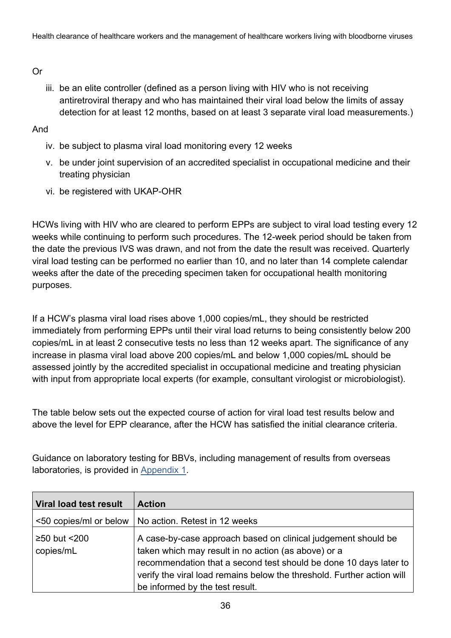#### Or

iii. be an elite controller (defined as a person living with HIV who is not receiving antiretroviral therapy and who has maintained their viral load below the limits of assay detection for at least 12 months, based on at least 3 separate viral load measurements.)

And

- iv. be subject to plasma viral load monitoring every 12 weeks
- v. be under joint supervision of an accredited specialist in occupational medicine and their treating physician
- vi. be registered with UKAP-OHR

HCWs living with HIV who are cleared to perform EPPs are subject to viral load testing every 12 weeks while continuing to perform such procedures. The 12-week period should be taken from the date the previous IVS was drawn, and not from the date the result was received. Quarterly viral load testing can be performed no earlier than 10, and no later than 14 complete calendar weeks after the date of the preceding specimen taken for occupational health monitoring purposes.

If a HCW's plasma viral load rises above 1,000 copies/mL, they should be restricted immediately from performing EPPs until their viral load returns to being consistently below 200 copies/mL in at least 2 consecutive tests no less than 12 weeks apart. The significance of any increase in plasma viral load above 200 copies/mL and below 1,000 copies/mL should be assessed jointly by the accredited specialist in occupational medicine and treating physician with input from appropriate local experts (for example, consultant virologist or microbiologist).

The table below sets out the expected course of action for viral load test results below and above the level for EPP clearance, after the HCW has satisfied the initial clearance criteria.

Guidance on laboratory testing for BBVs, including management of results from overseas laboratories, is provided in [Appendix 1.](#page-47-0)

| Viral load test result    | <b>Action</b>                                                                                                                                                                                                                                                                                          |
|---------------------------|--------------------------------------------------------------------------------------------------------------------------------------------------------------------------------------------------------------------------------------------------------------------------------------------------------|
| <50 copies/ml or below    | No action. Retest in 12 weeks                                                                                                                                                                                                                                                                          |
| ≥50 but <200<br>copies/mL | A case-by-case approach based on clinical judgement should be<br>taken which may result in no action (as above) or a<br>recommendation that a second test should be done 10 days later to<br>verify the viral load remains below the threshold. Further action will<br>be informed by the test result. |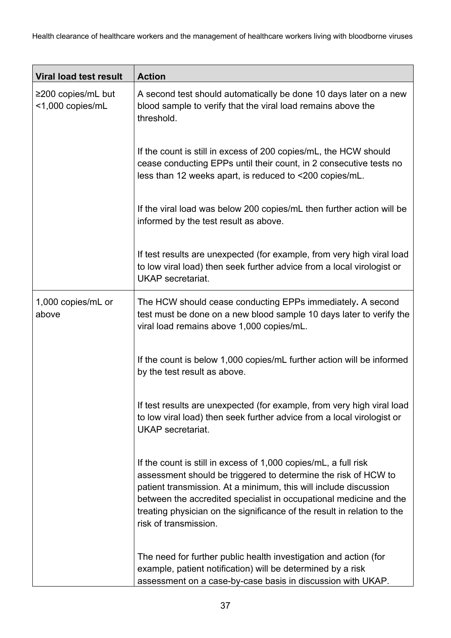| <b>Viral load test result</b>                | <b>Action</b>                                                                                                                                                                                                                                                                                                                                                                   |
|----------------------------------------------|---------------------------------------------------------------------------------------------------------------------------------------------------------------------------------------------------------------------------------------------------------------------------------------------------------------------------------------------------------------------------------|
| $\geq$ 200 copies/mL but<br><1,000 copies/mL | A second test should automatically be done 10 days later on a new<br>blood sample to verify that the viral load remains above the<br>threshold.                                                                                                                                                                                                                                 |
|                                              | If the count is still in excess of 200 copies/mL, the HCW should<br>cease conducting EPPs until their count, in 2 consecutive tests no<br>less than 12 weeks apart, is reduced to <200 copies/mL.                                                                                                                                                                               |
|                                              | If the viral load was below 200 copies/mL then further action will be<br>informed by the test result as above.                                                                                                                                                                                                                                                                  |
|                                              | If test results are unexpected (for example, from very high viral load<br>to low viral load) then seek further advice from a local virologist or<br><b>UKAP</b> secretariat.                                                                                                                                                                                                    |
| 1,000 copies/mL or<br>above                  | The HCW should cease conducting EPPs immediately. A second<br>test must be done on a new blood sample 10 days later to verify the<br>viral load remains above 1,000 copies/mL.                                                                                                                                                                                                  |
|                                              | If the count is below 1,000 copies/mL further action will be informed<br>by the test result as above.                                                                                                                                                                                                                                                                           |
|                                              | If test results are unexpected (for example, from very high viral load<br>to low viral load) then seek further advice from a local virologist or<br><b>UKAP</b> secretariat.                                                                                                                                                                                                    |
|                                              | If the count is still in excess of 1,000 copies/mL, a full risk<br>assessment should be triggered to determine the risk of HCW to<br>patient transmission. At a minimum, this will include discussion<br>between the accredited specialist in occupational medicine and the<br>treating physician on the significance of the result in relation to the<br>risk of transmission. |
|                                              | The need for further public health investigation and action (for<br>example, patient notification) will be determined by a risk<br>assessment on a case-by-case basis in discussion with UKAP.                                                                                                                                                                                  |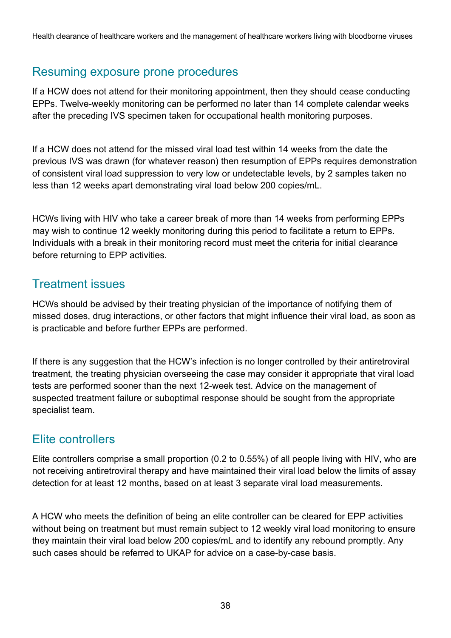#### Resuming exposure prone procedures

If a HCW does not attend for their monitoring appointment, then they should cease conducting EPPs. Twelve-weekly monitoring can be performed no later than 14 complete calendar weeks after the preceding IVS specimen taken for occupational health monitoring purposes.

If a HCW does not attend for the missed viral load test within 14 weeks from the date the previous IVS was drawn (for whatever reason) then resumption of EPPs requires demonstration of consistent viral load suppression to very low or undetectable levels, by 2 samples taken no less than 12 weeks apart demonstrating viral load below 200 copies/mL.

HCWs living with HIV who take a career break of more than 14 weeks from performing EPPs may wish to continue 12 weekly monitoring during this period to facilitate a return to EPPs. Individuals with a break in their monitoring record must meet the criteria for initial clearance before returning to EPP activities.

#### Treatment issues

HCWs should be advised by their treating physician of the importance of notifying them of missed doses, drug interactions, or other factors that might influence their viral load, as soon as is practicable and before further EPPs are performed.

If there is any suggestion that the HCW's infection is no longer controlled by their antiretroviral treatment, the treating physician overseeing the case may consider it appropriate that viral load tests are performed sooner than the next 12-week test. Advice on the management of suspected treatment failure or suboptimal response should be sought from the appropriate specialist team.

#### Elite controllers

Elite controllers comprise a small proportion (0.2 to 0.55%) of all people living with HIV, who are not receiving antiretroviral therapy and have maintained their viral load below the limits of assay detection for at least 12 months, based on at least 3 separate viral load measurements.

A HCW who meets the definition of being an elite controller can be cleared for EPP activities without being on treatment but must remain subject to 12 weekly viral load monitoring to ensure they maintain their viral load below 200 copies/mL and to identify any rebound promptly. Any such cases should be referred to UKAP for advice on a case-by-case basis.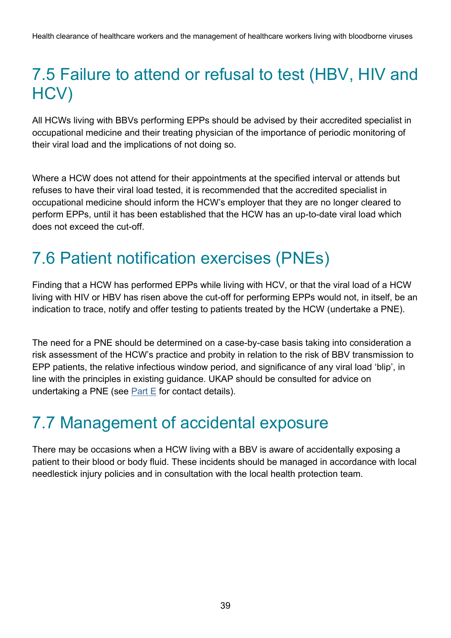### <span id="page-38-0"></span>7.5 Failure to attend or refusal to test (HBV, HIV and HCV)

All HCWs living with BBVs performing EPPs should be advised by their accredited specialist in occupational medicine and their treating physician of the importance of periodic monitoring of their viral load and the implications of not doing so.

Where a HCW does not attend for their appointments at the specified interval or attends but refuses to have their viral load tested, it is recommended that the accredited specialist in occupational medicine should inform the HCW's employer that they are no longer cleared to perform EPPs, until it has been established that the HCW has an up-to-date viral load which does not exceed the cut-off.

### <span id="page-38-1"></span>7.6 Patient notification exercises (PNEs)

Finding that a HCW has performed EPPs while living with HCV, or that the viral load of a HCW living with HIV or HBV has risen above the cut-off for performing EPPs would not, in itself, be an indication to trace, notify and offer testing to patients treated by the HCW (undertake a PNE).

The need for a PNE should be determined on a case-by-case basis taking into consideration a risk assessment of the HCW's practice and probity in relation to the risk of BBV transmission to EPP patients, the relative infectious window period, and significance of any viral load 'blip', in line with the principles in existing guidance. UKAP should be consulted for advice on undertaking a PNE (see  $Part E$  for contact details).

### <span id="page-38-2"></span>7.7 Management of accidental exposure

There may be occasions when a HCW living with a BBV is aware of accidentally exposing a patient to their blood or body fluid. These incidents should be managed in accordance with local needlestick injury policies and in consultation with the local health protection team.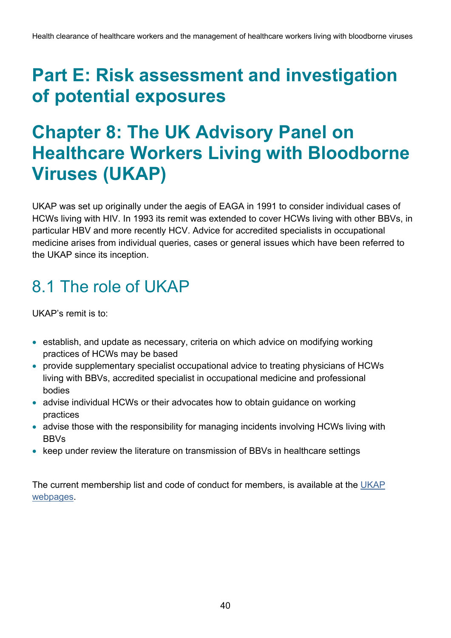## <span id="page-39-0"></span>**Part E: Risk assessment and investigation of potential exposures**

## <span id="page-39-1"></span>**Chapter 8: The UK Advisory Panel on Healthcare Workers Living with Bloodborne Viruses (UKAP)**

UKAP was set up originally under the aegis of EAGA in 1991 to consider individual cases of HCWs living with HIV. In 1993 its remit was extended to cover HCWs living with other BBVs, in particular HBV and more recently HCV. Advice for accredited specialists in occupational medicine arises from individual queries, cases or general issues which have been referred to the UKAP since its inception.

### <span id="page-39-2"></span>8.1 The role of UKAP

UKAP's remit is to:

- establish, and update as necessary, criteria on which advice on modifying working practices of HCWs may be based
- provide supplementary specialist occupational advice to treating physicians of HCWs living with BBVs, accredited specialist in occupational medicine and professional bodies
- advise individual HCWs or their advocates how to obtain guidance on working practices
- advise those with the responsibility for managing incidents involving HCWs living with **BBVs**
- keep under review the literature on transmission of BBVs in healthcare settings

The current membership list and code of conduct for members, is available at the [UKAP](https://www.gov.uk/government/groups/uk-advisory-panel-for-healthcare-workers-infected-with-bloodborne-viruses)  [webpages.](https://www.gov.uk/government/groups/uk-advisory-panel-for-healthcare-workers-infected-with-bloodborne-viruses)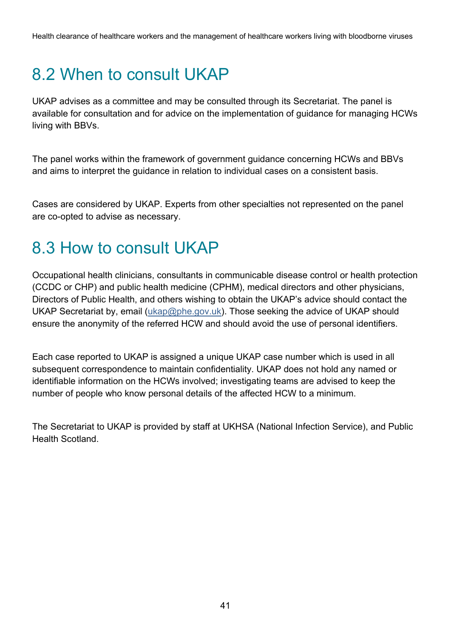## <span id="page-40-0"></span>8.2 When to consult UKAP

UKAP advises as a committee and may be consulted through its Secretariat. The panel is available for consultation and for advice on the implementation of guidance for managing HCWs living with BBVs.

The panel works within the framework of government guidance concerning HCWs and BBVs and aims to interpret the guidance in relation to individual cases on a consistent basis.

Cases are considered by UKAP. Experts from other specialties not represented on the panel are co-opted to advise as necessary.

### <span id="page-40-1"></span>8.3 How to consult UKAP

Occupational health clinicians, consultants in communicable disease control or health protection (CCDC or CHP) and public health medicine (CPHM), medical directors and other physicians, Directors of Public Health, and others wishing to obtain the UKAP's advice should contact the UKAP Secretariat by, email [\(ukap@phe.gov.uk\)](mailto:ukap@phe.gov.uk). Those seeking the advice of UKAP should ensure the anonymity of the referred HCW and should avoid the use of personal identifiers.

Each case reported to UKAP is assigned a unique UKAP case number which is used in all subsequent correspondence to maintain confidentiality. UKAP does not hold any named or identifiable information on the HCWs involved; investigating teams are advised to keep the number of people who know personal details of the affected HCW to a minimum.

The Secretariat to UKAP is provided by staff at UKHSA (National Infection Service), and Public Health Scotland.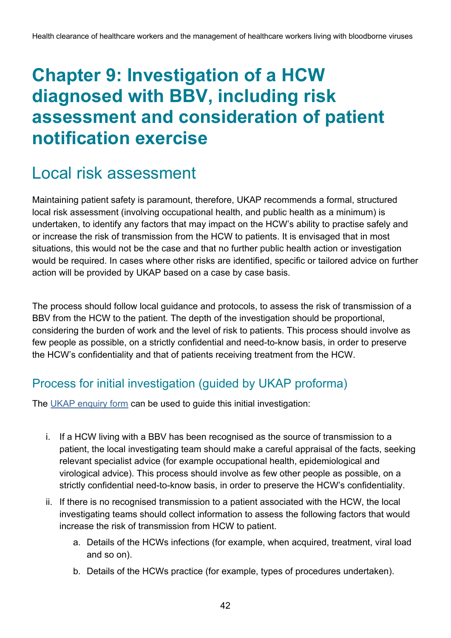## <span id="page-41-0"></span>**Chapter 9: Investigation of a HCW diagnosed with BBV, including risk assessment and consideration of patient notification exercise**

### <span id="page-41-1"></span>Local risk assessment

Maintaining patient safety is paramount, therefore, UKAP recommends a formal, structured local risk assessment (involving occupational health, and public health as a minimum) is undertaken, to identify any factors that may impact on the HCW's ability to practise safely and or increase the risk of transmission from the HCW to patients. It is envisaged that in most situations, this would not be the case and that no further public health action or investigation would be required. In cases where other risks are identified, specific or tailored advice on further action will be provided by UKAP based on a case by case basis.

The process should follow local guidance and protocols, to assess the risk of transmission of a BBV from the HCW to the patient. The depth of the investigation should be proportional, considering the burden of work and the level of risk to patients. This process should involve as few people as possible, on a strictly confidential and need-to-know basis, in order to preserve the HCW's confidentiality and that of patients receiving treatment from the HCW.

### Process for initial investigation (guided by UKAP proforma)

The [UKAP enquiry form](https://www.gov.uk/government/publications/uk-advisory-panel-ukap-enquiry-proforma-form) can be used to guide this initial investigation:

- i. If a HCW living with a BBV has been recognised as the source of transmission to a patient, the local investigating team should make a careful appraisal of the facts, seeking relevant specialist advice (for example occupational health, epidemiological and virological advice). This process should involve as few other people as possible, on a strictly confidential need-to-know basis, in order to preserve the HCW's confidentiality.
- ii. If there is no recognised transmission to a patient associated with the HCW, the local investigating teams should collect information to assess the following factors that would increase the risk of transmission from HCW to patient.
	- a. Details of the HCWs infections (for example, when acquired, treatment, viral load and so on).
	- b. Details of the HCWs practice (for example, types of procedures undertaken).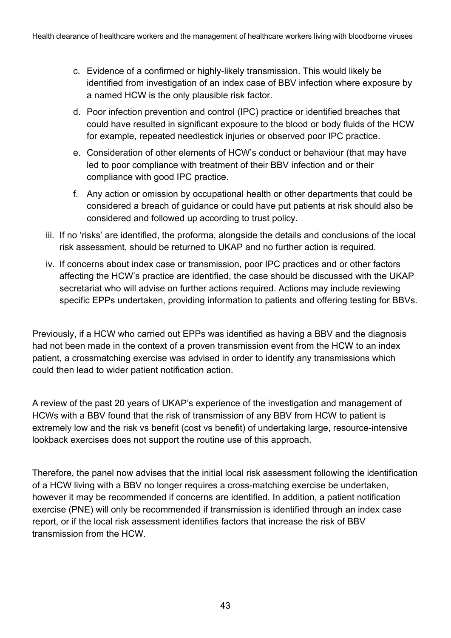- c. Evidence of a confirmed or highly-likely transmission. This would likely be identified from investigation of an index case of BBV infection where exposure by a named HCW is the only plausible risk factor.
- d. Poor infection prevention and control (IPC) practice or identified breaches that could have resulted in significant exposure to the blood or body fluids of the HCW for example, repeated needlestick injuries or observed poor IPC practice.
- e. Consideration of other elements of HCW's conduct or behaviour (that may have led to poor compliance with treatment of their BBV infection and or their compliance with good IPC practice.
- f. Any action or omission by occupational health or other departments that could be considered a breach of guidance or could have put patients at risk should also be considered and followed up according to trust policy.
- iii. If no 'risks' are identified, the proforma, alongside the details and conclusions of the local risk assessment, should be returned to UKAP and no further action is required.
- iv. If concerns about index case or transmission, poor IPC practices and or other factors affecting the HCW's practice are identified, the case should be discussed with the UKAP secretariat who will advise on further actions required. Actions may include reviewing specific EPPs undertaken, providing information to patients and offering testing for BBVs.

Previously, if a HCW who carried out EPPs was identified as having a BBV and the diagnosis had not been made in the context of a proven transmission event from the HCW to an index patient, a crossmatching exercise was advised in order to identify any transmissions which could then lead to wider patient notification action.

A review of the past 20 years of UKAP's experience of the investigation and management of HCWs with a BBV found that the risk of transmission of any BBV from HCW to patient is extremely low and the risk vs benefit (cost vs benefit) of undertaking large, resource-intensive lookback exercises does not support the routine use of this approach.

Therefore, the panel now advises that the initial local risk assessment following the identification of a HCW living with a BBV no longer requires a cross-matching exercise be undertaken, however it may be recommended if concerns are identified. In addition, a patient notification exercise (PNE) will only be recommended if transmission is identified through an index case report, or if the local risk assessment identifies factors that increase the risk of BBV transmission from the HCW.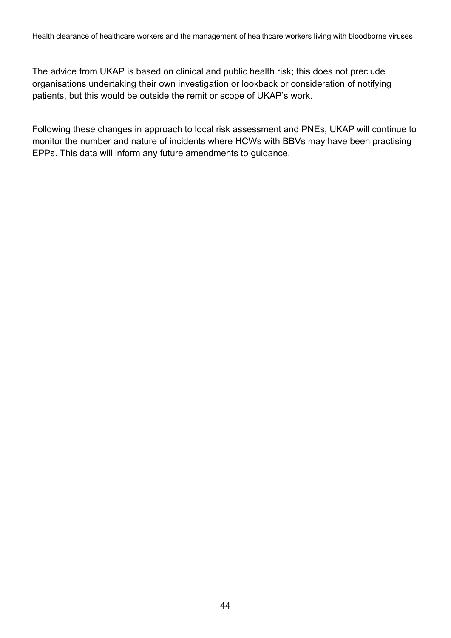The advice from UKAP is based on clinical and public health risk; this does not preclude organisations undertaking their own investigation or lookback or consideration of notifying patients, but this would be outside the remit or scope of UKAP's work.

Following these changes in approach to local risk assessment and PNEs, UKAP will continue to monitor the number and nature of incidents where HCWs with BBVs may have been practising EPPs. This data will inform any future amendments to guidance.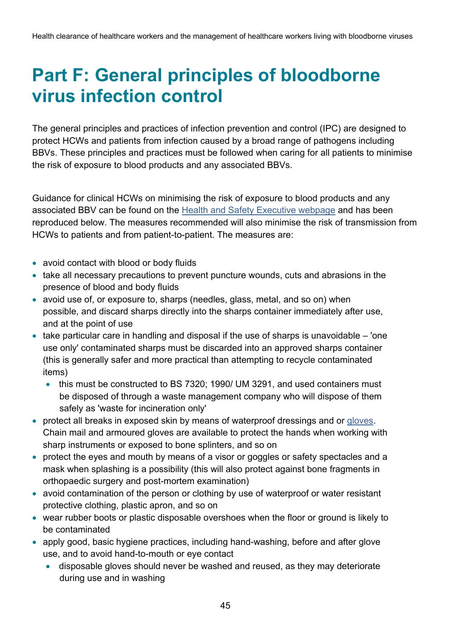## <span id="page-44-0"></span>**Part F: General principles of bloodborne virus infection control**

The general principles and practices of infection prevention and control (IPC) are designed to protect HCWs and patients from infection caused by a broad range of pathogens including BBVs. These principles and practices must be followed when caring for all patients to minimise the risk of exposure to blood products and any associated BBVs.

Guidance for clinical HCWs on minimising the risk of exposure to blood products and any associated BBV can be found on the [Health and Safety Executive webpage](http://www.hse.gov.uk/biosafety/blood-borne-viruses/safe-working-practices.htm) and has been reproduced below. The measures recommended will also minimise the risk of transmission from HCWs to patients and from patient-to-patient. The measures are:

- avoid contact with blood or body fluids
- take all necessary precautions to prevent puncture wounds, cuts and abrasions in the presence of blood and body fluids
- avoid use of, or exposure to, sharps (needles, glass, metal, and so on) when possible, and discard sharps directly into the sharps container immediately after use, and at the point of use
- take particular care in handling and disposal if the use of sharps is unavoidable 'one use only' contaminated sharps must be discarded into an approved sharps container (this is generally safer and more practical than attempting to recycle contaminated items)
	- this must be constructed to BS 7320; 1990/ UM 3291, and used containers must be disposed of through a waste management company who will dispose of them safely as 'waste for incineration only'
- protect all breaks in exposed skin by means of waterproof dressings and or [gloves.](http://www.hse.gov.uk/biosafety/blood-borne-viruses/use-of-gloves.htm) Chain mail and armoured gloves are available to protect the hands when working with sharp instruments or exposed to bone splinters, and so on
- protect the eyes and mouth by means of a visor or goggles or safety spectacles and a mask when splashing is a possibility (this will also protect against bone fragments in orthopaedic surgery and post-mortem examination)
- avoid contamination of the person or clothing by use of waterproof or water resistant protective clothing, plastic apron, and so on
- wear rubber boots or plastic disposable overshoes when the floor or ground is likely to be contaminated
- apply good, basic hygiene practices, including hand-washing, before and after glove use, and to avoid hand-to-mouth or eye contact
	- disposable gloves should never be washed and reused, as they may deteriorate during use and in washing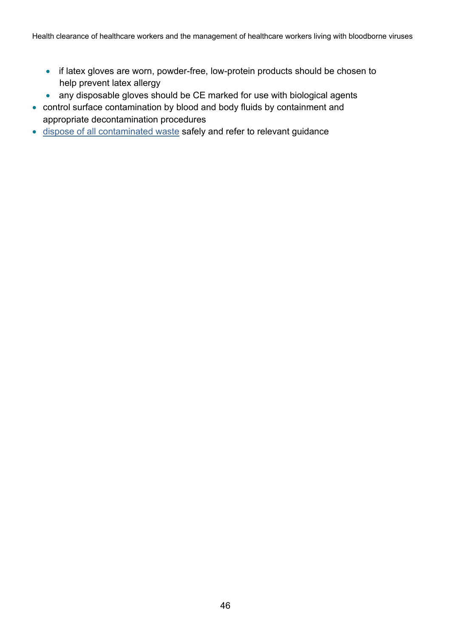- if latex gloves are worn, powder-free, low-protein products should be chosen to help prevent latex allergy
- any disposable gloves should be CE marked for use with biological agents
- control surface contamination by blood and body fluids by containment and appropriate decontamination procedures
- [dispose of all contaminated waste](http://www.hse.gov.uk/biosafety/blood-borne-viruses/disposal-of-waste.htm) safely and refer to relevant guidance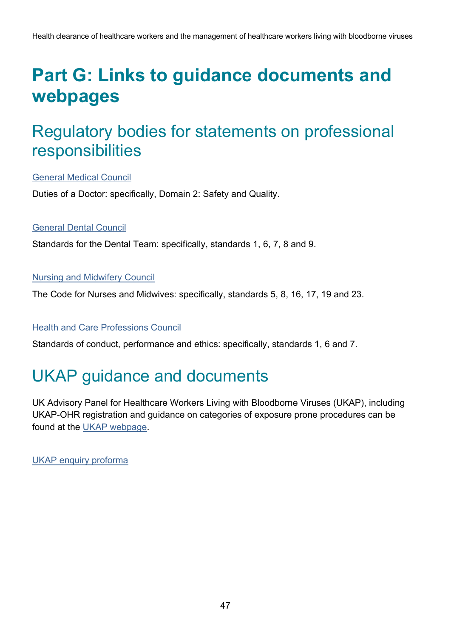## <span id="page-46-0"></span>**Part G: Links to guidance documents and webpages**

### <span id="page-46-1"></span>Regulatory bodies for statements on professional responsibilities

[General Medical Council](http://www.gmc-uk.org/guidance/good_medical_practice/duties_of_a_doctor.asp)

Duties of a Doctor: specifically, Domain 2: Safety and Quality.

#### [General Dental Council](https://standards.gdc-uk.org/)

Standards for the Dental Team: specifically, standards 1, 6, 7, 8 and 9.

#### [Nursing and Midwifery Council](https://www.nmc.org.uk/standards/code/)

The Code for Nurses and Midwives: specifically, standards 5, 8, 16, 17, 19 and 23.

#### [Health and Care Professions Council](http://www.hcpc-uk.org/aboutregistration/standards/standardsofconductperformanceandethics/)

Standards of conduct, performance and ethics: specifically, standards 1, 6 and 7.

### <span id="page-46-2"></span>UKAP guidance and documents

UK Advisory Panel for Healthcare Workers Living with Bloodborne Viruses (UKAP), including UKAP-OHR registration and guidance on categories of exposure prone procedures can be found [at](https://www.gov.uk/government/groups/uk-advisory-panel-for-healthcare-workers-infected-with-bloodborne-viruses) the UKAP webpage.

[UKAP enquiry proforma](https://www.gov.uk/government/publications/uk-advisory-panel-ukap-enquiry-proforma-form)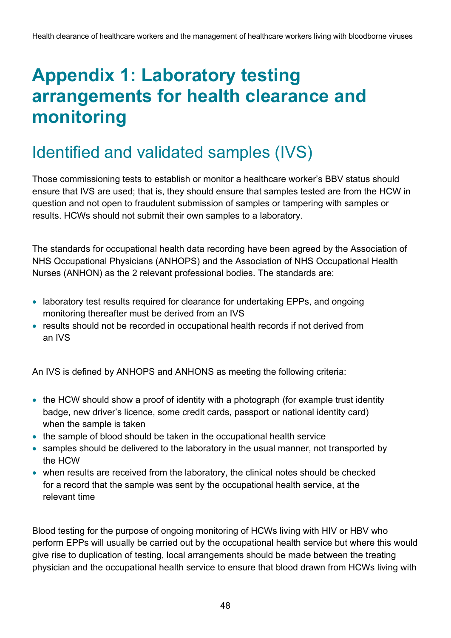## <span id="page-47-0"></span>**Appendix 1: Laboratory testing arrangements for health clearance and monitoring**

### <span id="page-47-1"></span>Identified and validated samples (IVS)

Those commissioning tests to establish or monitor a healthcare worker's BBV status should ensure that IVS are used; that is, they should ensure that samples tested are from the HCW in question and not open to fraudulent submission of samples or tampering with samples or results. HCWs should not submit their own samples to a laboratory.

The standards for occupational health data recording have been agreed by the Association of NHS Occupational Physicians (ANHOPS) and the Association of NHS Occupational Health Nurses (ANHON) as the 2 relevant professional bodies. The standards are:

- laboratory test results required for clearance for undertaking EPPs, and ongoing monitoring thereafter must be derived from an IVS
- results should not be recorded in occupational health records if not derived from an IVS

An IVS is defined by ANHOPS and ANHONS as meeting the following criteria:

- the HCW should show a proof of identity with a photograph (for example trust identity badge, new driver's licence, some credit cards, passport or national identity card) when the sample is taken
- the sample of blood should be taken in the occupational health service
- samples should be delivered to the laboratory in the usual manner, not transported by the HCW
- when results are received from the laboratory, the clinical notes should be checked for a record that the sample was sent by the occupational health service, at the relevant time

Blood testing for the purpose of ongoing monitoring of HCWs living with HIV or HBV who perform EPPs will usually be carried out by the occupational health service but where this would give rise to duplication of testing, local arrangements should be made between the treating physician and the occupational health service to ensure that blood drawn from HCWs living with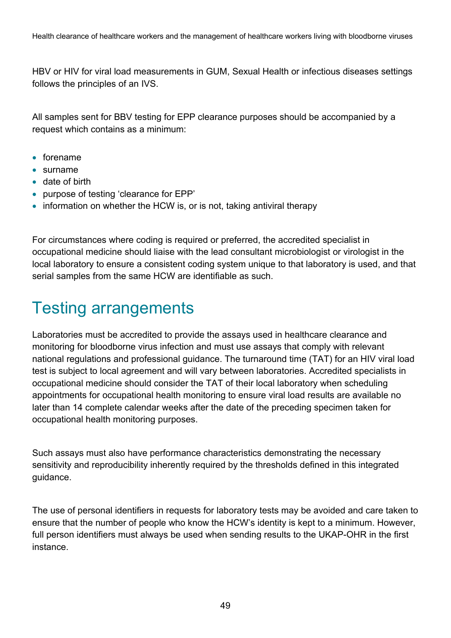HBV or HIV for viral load measurements in GUM, Sexual Health or infectious diseases settings follows the principles of an IVS.

All samples sent for BBV testing for EPP clearance purposes should be accompanied by a request which contains as a minimum:

- forename
- surname
- date of birth
- purpose of testing 'clearance for EPP'
- information on whether the HCW is, or is not, taking antiviral therapy

For circumstances where coding is required or preferred, the accredited specialist in occupational medicine should liaise with the lead consultant microbiologist or virologist in the local laboratory to ensure a consistent coding system unique to that laboratory is used, and that serial samples from the same HCW are identifiable as such.

### <span id="page-48-0"></span>Testing arrangements

Laboratories must be accredited to provide the assays used in healthcare clearance and monitoring for bloodborne virus infection and must use assays that comply with relevant national regulations and professional guidance. The turnaround time (TAT) for an HIV viral load test is subject to local agreement and will vary between laboratories. Accredited specialists in occupational medicine should consider the TAT of their local laboratory when scheduling appointments for occupational health monitoring to ensure viral load results are available no later than 14 complete calendar weeks after the date of the preceding specimen taken for occupational health monitoring purposes.

Such assays must also have performance characteristics demonstrating the necessary sensitivity and reproducibility inherently required by the thresholds defined in this integrated guidance.

The use of personal identifiers in requests for laboratory tests may be avoided and care taken to ensure that the number of people who know the HCW's identity is kept to a minimum. However, full person identifiers must always be used when sending results to the UKAP-OHR in the first instance.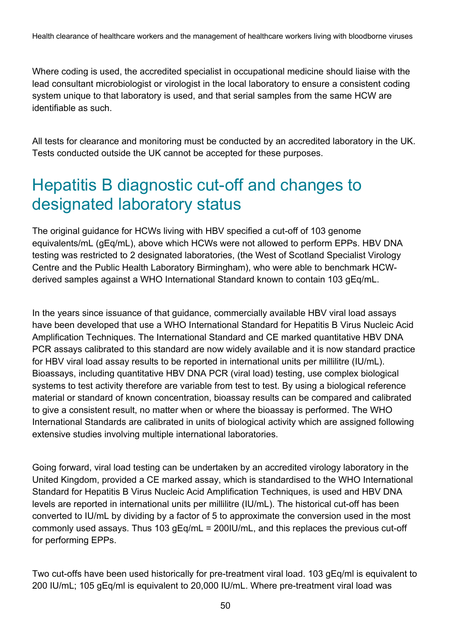Where coding is used, the accredited specialist in occupational medicine should liaise with the lead consultant microbiologist or virologist in the local laboratory to ensure a consistent coding system unique to that laboratory is used, and that serial samples from the same HCW are identifiable as such.

All tests for clearance and monitoring must be conducted by an accredited laboratory in the UK. Tests conducted outside the UK cannot be accepted for these purposes.

### <span id="page-49-0"></span>Hepatitis B diagnostic cut-off and changes to designated laboratory status

The original guidance for HCWs living with HBV specified a cut-off of 103 genome equivalents/mL (gEq/mL), above which HCWs were not allowed to perform EPPs. HBV DNA testing was restricted to 2 designated laboratories, (the West of Scotland Specialist Virology Centre and the Public Health Laboratory Birmingham), who were able to benchmark HCWderived samples against a WHO International Standard known to contain 103 gEq/mL.

In the years since issuance of that guidance, commercially available HBV viral load assays have been developed that use a WHO International Standard for Hepatitis B Virus Nucleic Acid Amplification Techniques. The International Standard and CE marked quantitative HBV DNA PCR assays calibrated to this standard are now widely available and it is now standard practice for HBV viral load assay results to be reported in international units per millilitre (IU/mL). Bioassays, including quantitative HBV DNA PCR (viral load) testing, use complex biological systems to test activity therefore are variable from test to test. By using a biological reference material or standard of known concentration, bioassay results can be compared and calibrated to give a consistent result, no matter when or where the bioassay is performed. The WHO International Standards are calibrated in units of biological activity which are assigned following extensive studies involving multiple international laboratories.

Going forward, viral load testing can be undertaken by an accredited virology laboratory in the United Kingdom, provided a CE marked assay, which is standardised to the WHO International Standard for Hepatitis B Virus Nucleic Acid Amplification Techniques, is used and HBV DNA levels are reported in international units per millilitre (IU/mL). The historical cut-off has been converted to IU/mL by dividing by a factor of 5 to approximate the conversion used in the most commonly used assays. Thus 103 gEq/mL = 200IU/mL, and this replaces the previous cut-off for performing EPPs.

Two cut-offs have been used historically for pre-treatment viral load. 103 gEq/ml is equivalent to 200 IU/mL; 105 gEq/ml is equivalent to 20,000 IU/mL. Where pre-treatment viral load was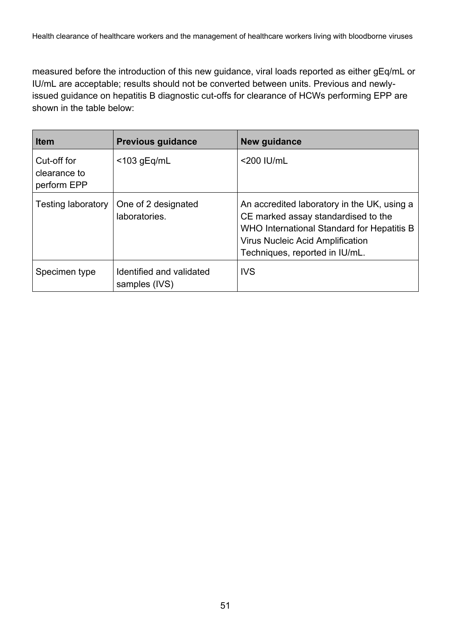measured before the introduction of this new guidance, viral loads reported as either gEq/mL or IU/mL are acceptable; results should not be converted between units. Previous and newlyissued guidance on hepatitis B diagnostic cut-offs for clearance of HCWs performing EPP are shown in the table below:

| <b>Item</b>                                | <b>Previous guidance</b>                  | New guidance                                                                                                                                                                                                  |
|--------------------------------------------|-------------------------------------------|---------------------------------------------------------------------------------------------------------------------------------------------------------------------------------------------------------------|
| Cut-off for<br>clearance to<br>perform EPP | $<$ 103 gEq/mL                            | $<$ 200 IU/mL                                                                                                                                                                                                 |
| <b>Testing laboratory</b>                  | One of 2 designated<br>laboratories.      | An accredited laboratory in the UK, using a<br>CE marked assay standardised to the<br>WHO International Standard for Hepatitis B<br><b>Virus Nucleic Acid Amplification</b><br>Techniques, reported in IU/mL. |
| Specimen type                              | Identified and validated<br>samples (IVS) | <b>IVS</b>                                                                                                                                                                                                    |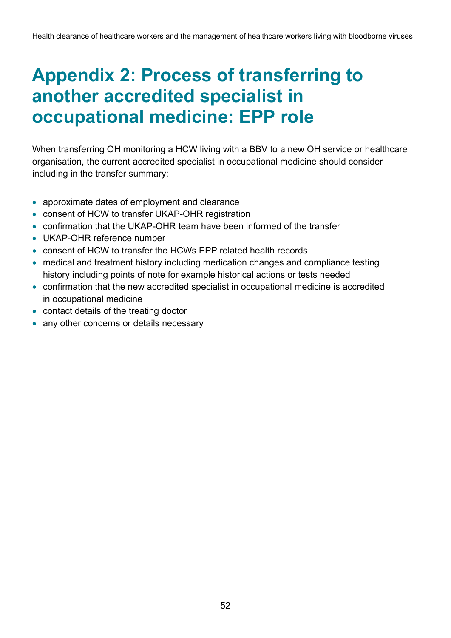## <span id="page-51-0"></span>**Appendix 2: Process of transferring to another accredited specialist in occupational medicine: EPP role**

When transferring OH monitoring a HCW living with a BBV to a new OH service or healthcare organisation, the current accredited specialist in occupational medicine should consider including in the transfer summary:

- approximate dates of employment and clearance
- consent of HCW to transfer UKAP-OHR registration
- confirmation that the UKAP-OHR team have been informed of the transfer
- UKAP-OHR reference number
- consent of HCW to transfer the HCWs EPP related health records
- medical and treatment history including medication changes and compliance testing history including points of note for example historical actions or tests needed
- confirmation that the new accredited specialist in occupational medicine is accredited in occupational medicine
- contact details of the treating doctor
- any other concerns or details necessary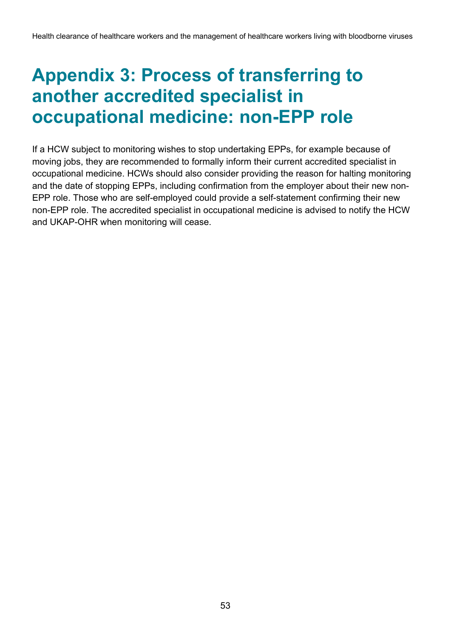## <span id="page-52-0"></span>**Appendix 3: Process of transferring to another accredited specialist in occupational medicine: non-EPP role**

If a HCW subject to monitoring wishes to stop undertaking EPPs, for example because of moving jobs, they are recommended to formally inform their current accredited specialist in occupational medicine. HCWs should also consider providing the reason for halting monitoring and the date of stopping EPPs, including confirmation from the employer about their new non-EPP role. Those who are self-employed could provide a self-statement confirming their new non-EPP role. The accredited specialist in occupational medicine is advised to notify the HCW and UKAP-OHR when monitoring will cease.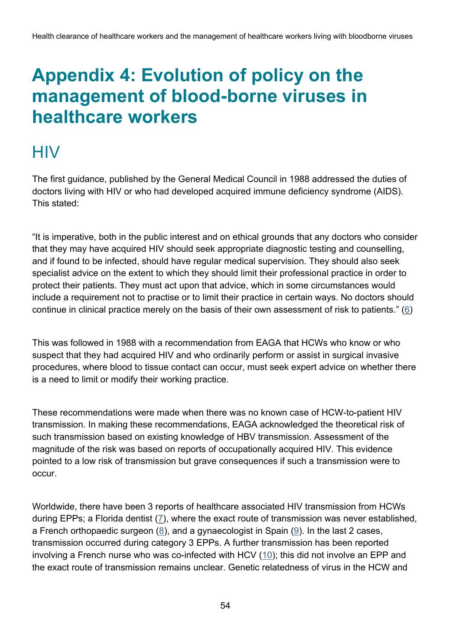## <span id="page-53-0"></span>**Appendix 4: Evolution of policy on the management of blood-borne viruses in healthcare workers**

### <span id="page-53-1"></span>**HIV**

The first guidance, published by the General Medical Council in 1988 addressed the duties of doctors living with HIV or who had developed acquired immune deficiency syndrome (AIDS). This stated:

"It is imperative, both in the public interest and on ethical grounds that any doctors who consider that they may have acquired HIV should seek appropriate diagnostic testing and counselling, and if found to be infected, should have regular medical supervision. They should also seek specialist advice on the extent to which they should limit their professional practice in order to protect their patients. They must act upon that advice, which in some circumstances would include a requirement not to practise or to limit their practice in certain ways. No doctors should continue in clinical practice merely on the basis of their own assessment of risk to patients." ( $\underline{6}$ )

This was followed in 1988 with a recommendation from EAGA that HCWs who know or who suspect that they had acquired HIV and who ordinarily perform or assist in surgical invasive procedures, where blood to tissue contact can occur, must seek expert advice on whether there is a need to limit or modify their working practice.

These recommendations were made when there was no known case of HCW-to-patient HIV transmission. In making these recommendations, EAGA acknowledged the theoretical risk of such transmission based on existing knowledge of HBV transmission. Assessment of the magnitude of the risk was based on reports of occupationally acquired HIV. This evidence pointed to a low risk of transmission but grave consequences if such a transmission were to occur.

Worldwide, there have been 3 reports of healthcare associated HIV transmission from HCWs during EPPs; a Florida dentist [\(7\)](#page-60-4), where the exact route of transmission was never established, a French orthopaedic surgeon [\(8\)](#page-60-5), and a gynaecologist in Spain [\(9\)](#page-60-6). In the last 2 cases, transmission occurred during category 3 EPPs. A further transmission has been reported involving a French nurse who was co-infected with HCV  $(10)$ ; this did not involve an EPP and the exact route of transmission remains unclear. Genetic relatedness of virus in the HCW and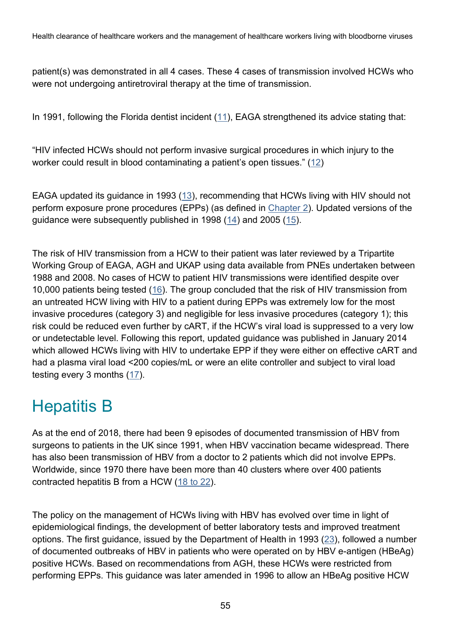patient(s) was demonstrated in all 4 cases. These 4 cases of transmission involved HCWs who were not undergoing antiretroviral therapy at the time of transmission.

In 1991, following the Florida dentist incident [\(11\)](#page-60-8), EAGA strengthened its advice stating that:

"HIV infected HCWs should not perform invasive surgical procedures in which injury to the worker could result in blood contaminating a patient's open tissues." ([12\)](#page-60-9)

EAGA updated its guidance in 1993 [\(13\)](#page-60-10), recommending that HCWs living with HIV should not perform exposure prone procedures (EPPs) (as defined in [Chapter 2\)](#page-9-1). Updated versions of the guidance were subsequently published in 1998 [\(14\)](#page-60-11) and 2005 [\(15\)](#page-60-12).

The risk of HIV transmission from a HCW to their patient was later reviewed by a Tripartite Working Group of EAGA, AGH and UKAP using data available from PNEs undertaken between 1988 and 2008. No cases of HCW to patient HIV transmissions were identified despite over 10,000 patients being tested [\(16\)](#page-61-0). The group concluded that the risk of HIV transmission from an untreated HCW living with HIV to a patient during EPPs was extremely low for the most invasive procedures (category 3) and negligible for less invasive procedures (category 1); this risk could be reduced even further by cART, if the HCW's viral load is suppressed to a very low or undetectable level. Following this report, updated guidance was published in January 2014 which allowed HCWs living with HIV to undertake EPP if they were either on effective cART and had a plasma viral load <200 copies/mL or were an elite controller and subject to viral load testing every 3 months [\(17\)](#page-61-1).

## <span id="page-54-0"></span>Hepatitis B

As at the end of 2018, there had been 9 episodes of documented transmission of HBV from surgeons to patients in the UK since 1991, when HBV vaccination became widespread. There has also been transmission of HBV from a doctor to 2 patients which did not involve EPPs. Worldwide, since 1970 there have been more than 40 clusters where over 400 patients contracted hepatitis B from a HCW (18 [to 22\)](#page-61-2).

The policy on the management of HCWs living with HBV has evolved over time in light of epidemiological findings, the development of better laboratory tests and improved treatment options. The first guidance, issued by the Department of Health in 1993 [\(23\)](#page-61-3), followed a number of documented outbreaks of HBV in patients who were operated on by HBV e-antigen (HBeAg) positive HCWs. Based on recommendations from AGH, these HCWs were restricted from performing EPPs. This guidance was later amended in 1996 to allow an HBeAg positive HCW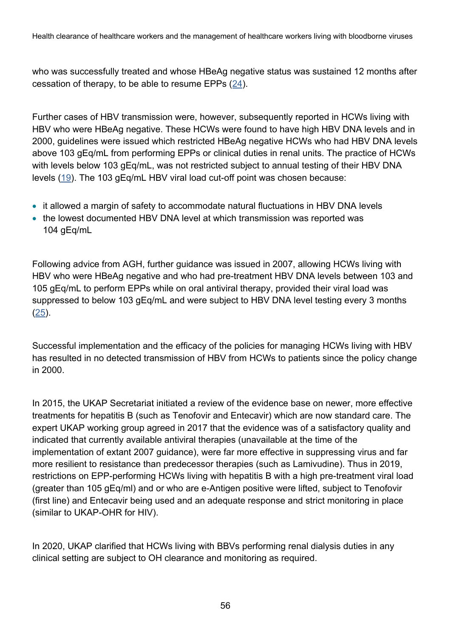Health clearance of healthcare workers and the management of healthcare workers living with bloodborne viruses

who was successfully treated and whose HBeAg negative status was sustained 12 months after cessation of therapy, to be able to resume EPPs  $(24)$ .

Further cases of HBV transmission were, however, subsequently reported in HCWs living with HBV who were HBeAg negative. These HCWs were found to have high HBV DNA levels and in 2000, guidelines were issued which restricted HBeAg negative HCWs who had HBV DNA levels above 103 gEq/mL from performing EPPs or clinical duties in renal units. The practice of HCWs with levels below 103 gEg/mL, was not restricted subject to annual testing of their HBV DNA levels [\(19\)](#page-61-5). The 103 gEq/mL HBV viral load cut-off point was chosen because:

- it allowed a margin of safety to accommodate natural fluctuations in HBV DNA levels
- the lowest documented HBV DNA level at which transmission was reported was 104 gEq/mL

Following advice from AGH, further guidance was issued in 2007, allowing HCWs living with HBV who were HBeAg negative and who had pre-treatment HBV DNA levels between 103 and 105 gEq/mL to perform EPPs while on oral antiviral therapy, provided their viral load was suppressed to below 103 gEq/mL and were subject to HBV DNA level testing every 3 months [\(25\)](#page-61-6).

Successful implementation and the efficacy of the policies for managing HCWs living with HBV has resulted in no detected transmission of HBV from HCWs to patients since the policy change in 2000.

In 2015, the UKAP Secretariat initiated a review of the evidence base on newer, more effective treatments for hepatitis B (such as Tenofovir and Entecavir) which are now standard care. The expert UKAP working group agreed in 2017 that the evidence was of a satisfactory quality and indicated that currently available antiviral therapies (unavailable at the time of the implementation of extant 2007 guidance), were far more effective in suppressing virus and far more resilient to resistance than predecessor therapies (such as Lamivudine). Thus in 2019, restrictions on EPP-performing HCWs living with hepatitis B with a high pre-treatment viral load (greater than 105 gEq/ml) and or who are e-Antigen positive were lifted, subject to Tenofovir (first line) and Entecavir being used and an adequate response and strict monitoring in place (similar to UKAP-OHR for HIV).

In 2020, UKAP clarified that HCWs living with BBVs performing renal dialysis duties in any clinical setting are subject to OH clearance and monitoring as required.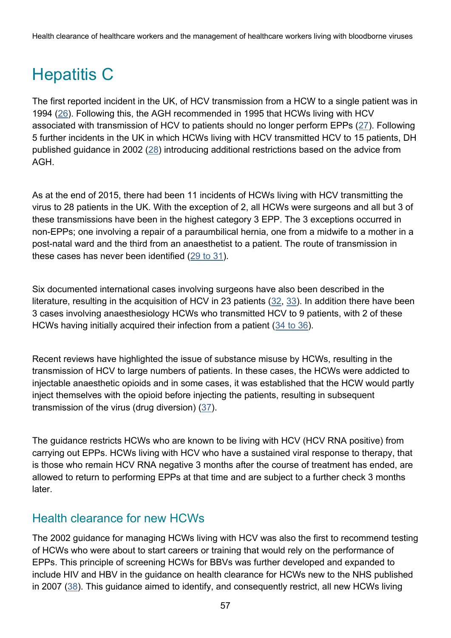## <span id="page-56-0"></span>Hepatitis C

The first reported incident in the UK, of HCV transmission from a HCW to a single patient was in 1994 [\(26\)](#page-61-7). Following this, the AGH recommended in 1995 that HCWs living with HCV associated with transmission of HCV to patients should no longer perform EPPs [\(27\)](#page-61-8). Following 5 further incidents in the UK in which HCWs living with HCV transmitted HCV to 15 patients, DH published guidance in 2002 [\(28\)](#page-61-9) introducing additional restrictions based on the advice from AGH.

As at the end of 2015, there had been 11 incidents of HCWs living with HCV transmitting the virus to 28 patients in the UK. With the exception of 2, all HCWs were surgeons and all but 3 of these transmissions have been in the highest category 3 EPP. The 3 exceptions occurred in non-EPPs; one involving a repair of a paraumbilical hernia, one from a midwife to a mother in a post-natal ward and the third from an anaesthetist to a patient. The route of transmission in these cases has never been identified (29 [to 31\)](#page-61-10).

Six documented international cases involving surgeons have also been described in the literature, resulting in the acquisition of HCV in 23 patients  $(32, 33)$  $(32, 33)$ . In addition there have been 3 cases involving anaesthesiology HCWs who transmitted HCV to 9 patients, with 2 of these HCWs having initially acquired their infection from a patient [\(34](#page-62-2) to 36).

Recent reviews have highlighted the issue of substance misuse by HCWs, resulting in the transmission of HCV to large numbers of patients. In these cases, the HCWs were addicted to injectable anaesthetic opioids and in some cases, it was established that the HCW would partly inject themselves with the opioid before injecting the patients, resulting in subsequent transmission of the virus (drug diversion) [\(37\)](#page-62-3).

The guidance restricts HCWs who are known to be living with HCV (HCV RNA positive) from carrying out EPPs. HCWs living with HCV who have a sustained viral response to therapy, that is those who remain HCV RNA negative 3 months after the course of treatment has ended, are allowed to return to performing EPPs at that time and are subject to a further check 3 months **later** 

#### Health clearance for new HCWs

The 2002 guidance for managing HCWs living with HCV was also the first to recommend testing of HCWs who were about to start careers or training that would rely on the performance of EPPs. This principle of screening HCWs for BBVs was further developed and expanded to include HIV and HBV in the guidance on health clearance for HCWs new to the NHS published in 2007 ( $38$ ). This guidance aimed to identify, and consequently restrict, all new HCWs living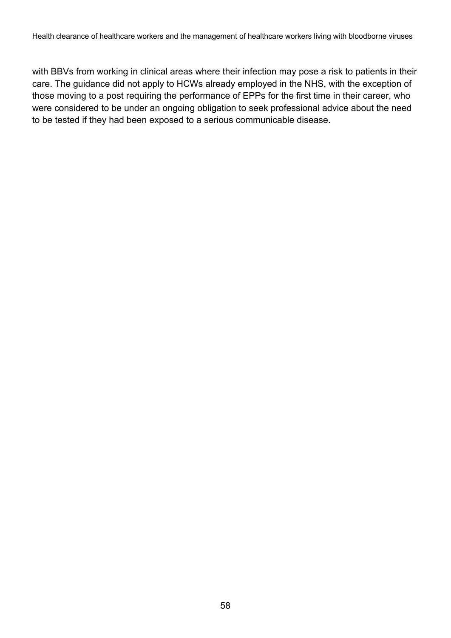with BBVs from working in clinical areas where their infection may pose a risk to patients in their care. The guidance did not apply to HCWs already employed in the NHS, with the exception of those moving to a post requiring the performance of EPPs for the first time in their career, who were considered to be under an ongoing obligation to seek professional advice about the need to be tested if they had been exposed to a serious communicable disease.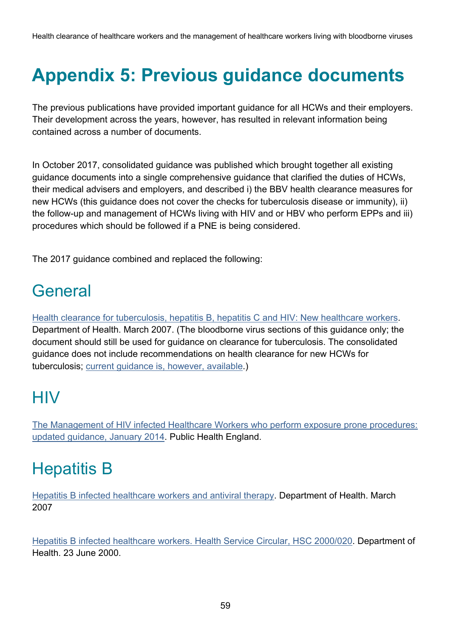# <span id="page-58-0"></span>**Appendix 5: Previous guidance documents**

The previous publications have provided important guidance for all HCWs and their employers. Their development across the years, however, has resulted in relevant information being contained across a number of documents.

In October 2017, consolidated guidance was published which brought together all existing guidance documents into a single comprehensive guidance that clarified the duties of HCWs, their medical advisers and employers, and described i) the BBV health clearance measures for new HCWs (this guidance does not cover the checks for tuberculosis disease or immunity), ii) the follow-up and management of HCWs living with HIV and or HBV who perform EPPs and iii) procedures which should be followed if a PNE is being considered.

The 2017 guidance combined and replaced the following:

## <span id="page-58-1"></span>General

[Health clearance for tuberculosis, hepatitis B, hepatitis C and HIV: New healthcare workers.](http://webarchive.nationalarchives.gov.uk/20130107105354/http:/www.dh.gov.uk/en/Publicationsandstatistics/Publications/PublicationsPolicyAndGuidance/DH_073132) Department of Health. March 2007. (The bloodborne virus sections of this guidance only; the document should still be used for guidance on clearance for tuberculosis. The consolidated guidance does not include recommendations on health clearance for new HCWs for tuberculosis; [current guidance is,](https://www.gov.uk/government/publications/new-healthcare-workers-clearance-for-hepatitis-b-and-c-tb-hiv) however, available.)

## <span id="page-58-2"></span>**HIV**

[The Management of HIV infected Healthcare Workers who perform exposure prone procedures:](https://www.gov.uk/government/publications/hiv-infected-healthcare-workers-and-exposure-prone-procedures)  [updated guidance, January 2014.](https://www.gov.uk/government/publications/hiv-infected-healthcare-workers-and-exposure-prone-procedures) Public Health England.

## <span id="page-58-3"></span>Hepatitis B

[Hepatitis B infected healthcare workers and antiviral therapy.](http://webarchive.nationalarchives.gov.uk/20130107105354/http:/www.dh.gov.uk/en/Publicationsandstatistics/Publications/PublicationsPolicyAndGuidance/DH_073164) Department of Health. March 2007

[Hepatitis B infected healthcare workers. Health Service Circular, HSC 2000/020.](http://webarchive.nationalarchives.gov.uk/20130107105354/http:/www.dh.gov.uk/en/Publicationsandstatistics/Lettersandcirculars/Healthservicecirculars/DH_4004553) Department of Health. 23 June 2000.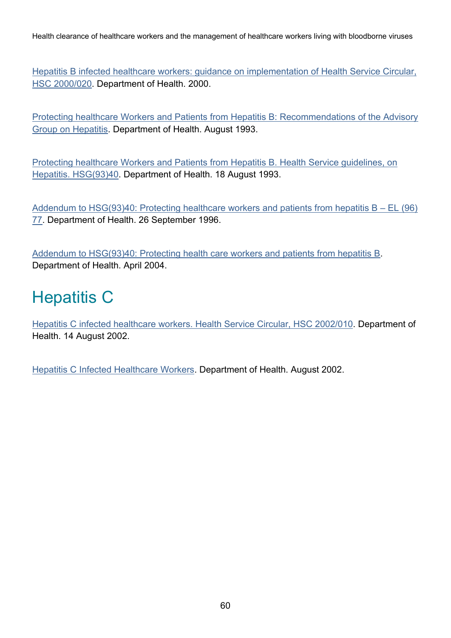Health clearance of healthcare workers and the management of healthcare workers living with bloodborne viruses

[Hepatitis B infected healthcare workers: guidance on implementation of Health Service Circular,](http://webarchive.nationalarchives.gov.uk/20130107105354/http:/www.dh.gov.uk/en/Publicationsandstatistics/Publications/PublicationsPolicyAndGuidance/DH_4008156)  [HSC 2000/020.](http://webarchive.nationalarchives.gov.uk/20130107105354/http:/www.dh.gov.uk/en/Publicationsandstatistics/Publications/PublicationsPolicyAndGuidance/DH_4008156) Department of Health. 2000.

[Protecting healthcare Workers and Patients from Hepatitis B: Recommendations of the Advisory](http://webarchive.nationalarchives.gov.uk/+/www.dh.gov.uk/en/Publicationsandstatistics/Lettersandcirculars/Healthserviceguidelines/DH_4084234)  [Group on Hepatitis.](http://webarchive.nationalarchives.gov.uk/+/www.dh.gov.uk/en/Publicationsandstatistics/Lettersandcirculars/Healthserviceguidelines/DH_4084234) Department of Health. August 1993.

[Protecting healthcare Workers and Patients from Hepatitis B. Health Service guidelines, on](http://webarchive.nationalarchives.gov.uk/+/www.dh.gov.uk/en/Publicationsandstatistics/Lettersandcirculars/Healthserviceguidelines/DH_4084234)  [Hepatitis. HSG\(93\)40.](http://webarchive.nationalarchives.gov.uk/+/www.dh.gov.uk/en/Publicationsandstatistics/Lettersandcirculars/Healthserviceguidelines/DH_4084234) Department of Health. 18 August 1993.

Addendum to  $HSG(93)40$ : Protecting healthcare workers and patients from hepatitis  $B - EL$  (96) [77.](http://webarchive.nationalarchives.gov.uk/+/www.dh.gov.uk/en/Publicationsandstatistics/Lettersandcirculars/Executiveletters/DH_4088385) Department of Health. 26 September 1996.

[Addendum to HSG\(93\)40: Protecting health care workers and patients from hepatitis B.](http://webarchive.nationalarchives.gov.uk/+/www.dh.gov.uk/en/Publichealth/Communicablediseases/HepatitisB/HepatitisBgeneralinformation/index.htm) Department of Health. April 2004.

### <span id="page-59-0"></span>Hepatitis C

[Hepatitis C infected healthcare workers. Health Service Circular, HSC 2002/010.](http://webarchive.nationalarchives.gov.uk/20130107105354/http:/www.dh.gov.uk/en/Publicationsandstatistics/Lettersandcirculars/Healthservicecirculars/DH_4004561) Department of Health. 14 August 2002.

[Hepatitis C Infected Healthcare Workers.](http://webarchive.nationalarchives.gov.uk/20130107105354/http:/www.dh.gov.uk/en/Publicationsandstatistics/Publications/PublicationsPolicyAndGuidance/DH_4010554) Department of Health. August 2002.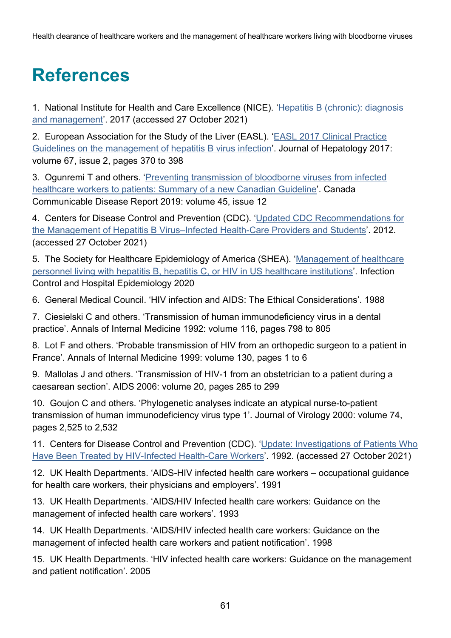# <span id="page-60-2"></span>**References**

<span id="page-60-0"></span>1. National Institute for Health and Care Excellence (NICE). 'Hepatitis B (chronic): diagnosis [and management](https://www.nice.org.uk/guidance/CG165/chapter/1-Recommendations#monitoring)'. 2017 (accessed 27 October 2021)

2. European Association for the Study of the Liver (EASL). '[EASL 2017 Clinical Practice](https://www.journal-of-hepatology.eu/article/S0168-8278(17)30185-X/fulltext)  Guidelines [on the management of hepatitis B virus infection](https://www.journal-of-hepatology.eu/article/S0168-8278(17)30185-X/fulltext)'. Journal of Hepatology 2017: volume 67, issue 2, pages 370 to 398

<span id="page-60-1"></span>3. Ogunremi T and others. '[Preventing transmission of bloodborne viruses from infected](https://www.canada.ca/en/public-health/services/reports-publications/canada-communicable-disease-report-ccdr/monthly-issue/2019-45/issue-12-december-5-2019/article-3-preventing-healthcare-transmission-bloodborne-viruses.html#tbl4)  [healthcare workers to patients: Summary of a new Canadian Guideline](https://www.canada.ca/en/public-health/services/reports-publications/canada-communicable-disease-report-ccdr/monthly-issue/2019-45/issue-12-december-5-2019/article-3-preventing-healthcare-transmission-bloodborne-viruses.html#tbl4)'. Canada Communicable Disease Report 2019: volume 45, issue 12

4. Centers for Disease Control and Prevention (CDC). '[Updated CDC Recommendations for](https://www.cdc.gov/mmwr/preview/mmwrhtml/rr6103a1.htm)  the Management of Hepatitis B Virus–[Infected Health-Care Providers and Students](https://www.cdc.gov/mmwr/preview/mmwrhtml/rr6103a1.htm)'. 2012. (accessed 27 October 2021)

5. The Society for Healthcare Epidemiology of America (SHEA). '[Management of healthcare](https://www.shea-online.org/index.php/practice-resources/41-current-guidelines/887-shea-white-paper-management-of-healthcare-personnel-living-with-hepatitis-b-hepatitis-c-or-human-immunodeficiency-virus-in-us-healthcare-institutions)  [personnel living with hepatitis B, hepatitis C, or HIV in US healthcare institutions](https://www.shea-online.org/index.php/practice-resources/41-current-guidelines/887-shea-white-paper-management-of-healthcare-personnel-living-with-hepatitis-b-hepatitis-c-or-human-immunodeficiency-virus-in-us-healthcare-institutions)'. Infection Control and Hospital Epidemiology 2020

<span id="page-60-3"></span>6. General Medical Council. 'HIV infection and AIDS: The Ethical Considerations'. 1988

<span id="page-60-4"></span>7. Ciesielski C and others. 'Transmission of human immunodeficiency virus in a dental practice'. Annals of Internal Medicine 1992: volume 116, pages 798 to 805

<span id="page-60-5"></span>8. Lot F and others. 'Probable transmission of HIV from an orthopedic surgeon to a patient in France'. Annals of Internal Medicine 1999: volume 130, pages 1 to 6

<span id="page-60-6"></span>9. Mallolas J and others. 'Transmission of HIV-1 from an obstetrician to a patient during a caesarean section'. AIDS 2006: volume 20, pages 285 to 299

<span id="page-60-7"></span>10. Goujon C and others. 'Phylogenetic analyses indicate an atypical nurse-to-patient transmission of human immunodeficiency virus type 1'. Journal of Virology 2000: volume 74, pages 2,525 to 2,532

<span id="page-60-8"></span>11. Centers for Disease Control and Prevention (CDC). '[Update: Investigations of Patients Who](https://www.cdc.gov/mmwr/preview/mmwrhtml/00016712.htm)  [Have Been Treated by HIV-Infected Health-Care Workers](https://www.cdc.gov/mmwr/preview/mmwrhtml/00016712.htm)'. 1992. (accessed 27 October 2021)

<span id="page-60-9"></span>12. UK Health Departments. 'AIDS-HIV infected health care workers – occupational guidance for health care workers, their physicians and employers'. 1991

<span id="page-60-10"></span>13. UK Health Departments. 'AIDS/HIV Infected health care workers: Guidance on the management of infected health care workers'. 1993

<span id="page-60-11"></span>14. UK Health Departments. 'AIDS/HIV infected health care workers: Guidance on the management of infected health care workers and patient notification'. 1998

<span id="page-60-12"></span>15. UK Health Departments. 'HIV infected health care workers: Guidance on the management and patient notification'. 2005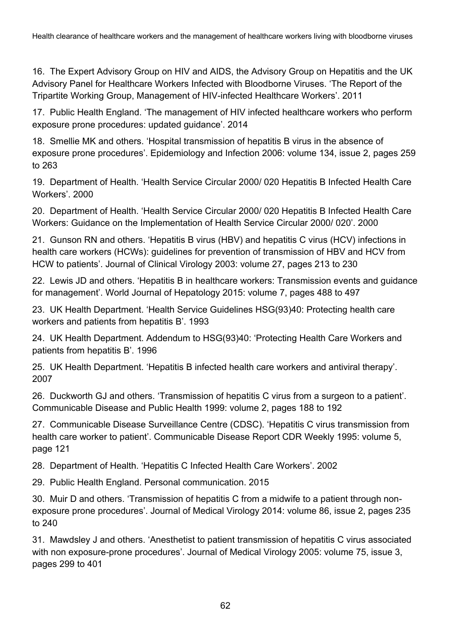<span id="page-61-0"></span>16. The Expert Advisory Group on HIV and AIDS, the Advisory Group on Hepatitis and the UK Advisory Panel for Healthcare Workers Infected with Bloodborne Viruses. 'The Report of the Tripartite Working Group, Management of HIV-infected Healthcare Workers'. 2011

<span id="page-61-1"></span>17. Public Health England. 'The management of HIV infected healthcare workers who perform exposure prone procedures: updated guidance'. 2014

<span id="page-61-2"></span>18. Smellie MK and others. 'Hospital transmission of hepatitis B virus in the absence of exposure prone procedures'. Epidemiology and Infection 2006: volume 134, issue 2, pages 259 to 263

<span id="page-61-5"></span>19. Department of Health. 'Health Service Circular 2000/ 020 Hepatitis B Infected Health Care Workers'. 2000

20. Department of Health. 'Health Service Circular 2000/ 020 Hepatitis B Infected Health Care Workers: Guidance on the Implementation of Health Service Circular 2000/ 020'. 2000

21. Gunson RN and others. 'Hepatitis B virus (HBV) and hepatitis C virus (HCV) infections in health care workers (HCWs): guidelines for prevention of transmission of HBV and HCV from HCW to patients'. Journal of Clinical Virology 2003: volume 27, pages 213 to 230

22. Lewis JD and others. 'Hepatitis B in healthcare workers: Transmission events and guidance for management'. World Journal of Hepatology 2015: volume 7, pages 488 to 497

<span id="page-61-3"></span>23. UK Health Department. 'Health Service Guidelines HSG(93)40: Protecting health care workers and patients from hepatitis B'. 1993

<span id="page-61-4"></span>24. UK Health Department. Addendum to HSG(93)40: 'Protecting Health Care Workers and patients from hepatitis B'. 1996

<span id="page-61-6"></span>25. UK Health Department. 'Hepatitis B infected health care workers and antiviral therapy'. 2007

<span id="page-61-7"></span>26. Duckworth GJ and others. 'Transmission of hepatitis C virus from a surgeon to a patient'. Communicable Disease and Public Health 1999: volume 2, pages 188 to 192

<span id="page-61-8"></span>27. Communicable Disease Surveillance Centre (CDSC). 'Hepatitis C virus transmission from health care worker to patient'. Communicable Disease Report CDR Weekly 1995: volume 5, page 121

<span id="page-61-9"></span>28. Department of Health. 'Hepatitis C Infected Health Care Workers'. 2002

<span id="page-61-10"></span>29. Public Health England. Personal communication. 2015

30. Muir D and others. 'Transmission of hepatitis C from a midwife to a patient through nonexposure prone procedures'. Journal of Medical Virology 2014: volume 86, issue 2, pages 235 to 240

31. Mawdsley J and others. 'Anesthetist to patient transmission of hepatitis C virus associated with non exposure-prone procedures'. Journal of Medical Virology 2005: volume 75, issue 3, pages 299 to 401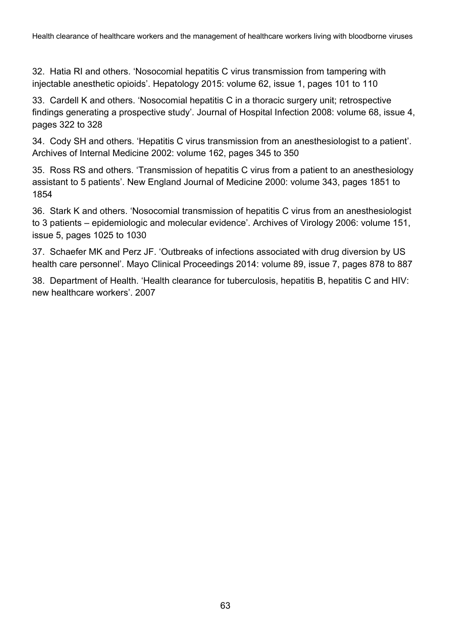<span id="page-62-0"></span>32. Hatia RI and others. 'Nosocomial hepatitis C virus transmission from tampering with injectable anesthetic opioids'. Hepatology 2015: volume 62, issue 1, pages 101 to 110

<span id="page-62-1"></span>33. Cardell K and others. 'Nosocomial hepatitis C in a thoracic surgery unit; retrospective findings generating a prospective study'. Journal of Hospital Infection 2008: volume 68, issue 4, pages 322 to 328

<span id="page-62-2"></span>34. Cody SH and others. 'Hepatitis C virus transmission from an anesthesiologist to a patient'. Archives of Internal Medicine 2002: volume 162, pages 345 to 350

35. Ross RS and others. 'Transmission of hepatitis C virus from a patient to an anesthesiology assistant to 5 patients'. New England Journal of Medicine 2000: volume 343, pages 1851 to 1854

36. Stark K and others. 'Nosocomial transmission of hepatitis C virus from an anesthesiologist to 3 patients – epidemiologic and molecular evidence'. Archives of Virology 2006: volume 151, issue 5, pages 1025 to 1030

<span id="page-62-3"></span>37. Schaefer MK and Perz JF. 'Outbreaks of infections associated with drug diversion by US health care personnel'. Mayo Clinical Proceedings 2014: volume 89, issue 7, pages 878 to 887

<span id="page-62-4"></span>38. Department of Health. 'Health clearance for tuberculosis, hepatitis B, hepatitis C and HIV: new healthcare workers'. 2007